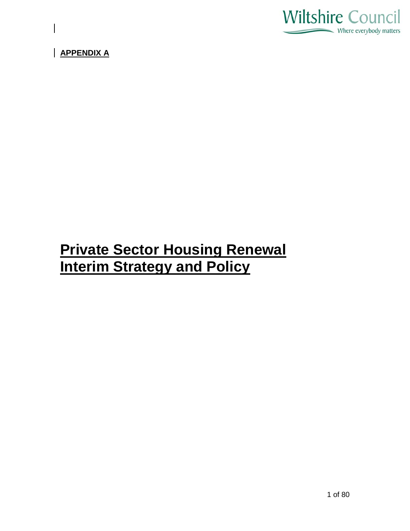

**APPENDIX A**

# **Private Sector Housing Renewal Interim Strategy and Policy**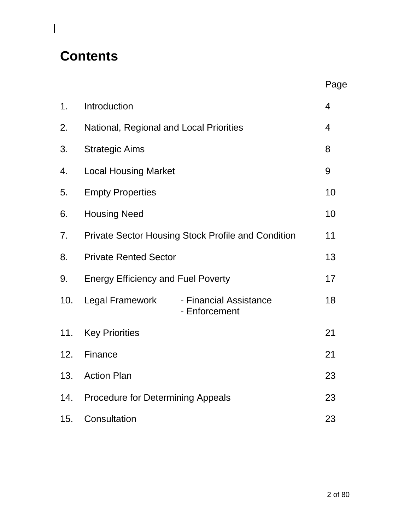# **Contents**

 $\overline{\phantom{a}}$ 

|     |                                                           |                                         | Page           |
|-----|-----------------------------------------------------------|-----------------------------------------|----------------|
| 1.  | Introduction                                              |                                         | $\overline{4}$ |
| 2.  | National, Regional and Local Priorities                   |                                         | $\overline{4}$ |
| 3.  | <b>Strategic Aims</b>                                     |                                         | 8              |
| 4.  | <b>Local Housing Market</b>                               |                                         | 9              |
| 5.  | <b>Empty Properties</b>                                   |                                         | 10             |
| 6.  | <b>Housing Need</b>                                       |                                         | 10             |
| 7.  | <b>Private Sector Housing Stock Profile and Condition</b> |                                         | 11             |
| 8.  | <b>Private Rented Sector</b>                              |                                         | 13             |
| 9.  | <b>Energy Efficiency and Fuel Poverty</b>                 |                                         | 17             |
| 10. | <b>Legal Framework</b>                                    | - Financial Assistance<br>- Enforcement | 18             |
| 11. | <b>Key Priorities</b>                                     |                                         | 21             |
| 12. | Finance                                                   |                                         | 21             |
| 13. | <b>Action Plan</b>                                        |                                         | 23             |
| 14. | <b>Procedure for Determining Appeals</b>                  |                                         | 23             |
| 15. | Consultation                                              |                                         | 23             |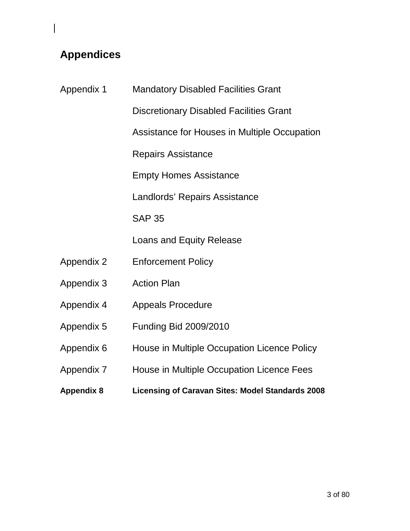# **Appendices**

| <b>Appendix 1</b> | <b>Mandatory Disabled Facilities Grant</b>              |
|-------------------|---------------------------------------------------------|
|                   | <b>Discretionary Disabled Facilities Grant</b>          |
|                   | Assistance for Houses in Multiple Occupation            |
|                   | <b>Repairs Assistance</b>                               |
|                   | <b>Empty Homes Assistance</b>                           |
|                   | Landlords' Repairs Assistance                           |
|                   | <b>SAP 35</b>                                           |
|                   | Loans and Equity Release                                |
| <b>Appendix 2</b> | <b>Enforcement Policy</b>                               |
| Appendix 3        | <b>Action Plan</b>                                      |
| Appendix 4        | <b>Appeals Procedure</b>                                |
| Appendix 5        | <b>Funding Bid 2009/2010</b>                            |
| Appendix 6        | House in Multiple Occupation Licence Policy             |
| Appendix 7        | House in Multiple Occupation Licence Fees               |
| <b>Appendix 8</b> | <b>Licensing of Caravan Sites: Model Standards 2008</b> |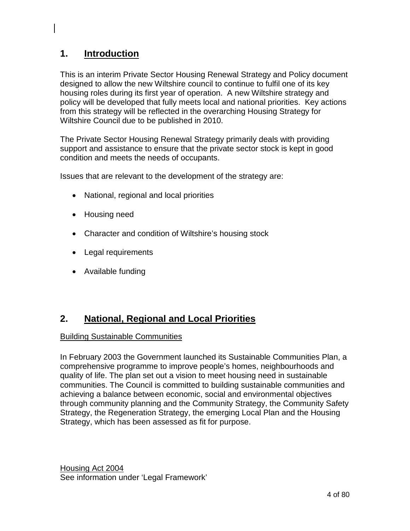# **1. Introduction**

This is an interim Private Sector Housing Renewal Strategy and Policy document designed to allow the new Wiltshire council to continue to fulfil one of its key housing roles during its first year of operation. A new Wiltshire strategy and policy will be developed that fully meets local and national priorities. Key actions from this strategy will be reflected in the overarching Housing Strategy for Wiltshire Council due to be published in 2010.

The Private Sector Housing Renewal Strategy primarily deals with providing support and assistance to ensure that the private sector stock is kept in good condition and meets the needs of occupants.

Issues that are relevant to the development of the strategy are:

- National, regional and local priorities
- Housing need
- Character and condition of Wiltshire's housing stock
- Legal requirements
- Available funding

#### **2. National, Regional and Local Priorities**

## Building Sustainable Communities

In February 2003 the Government launched its Sustainable Communities Plan, a comprehensive programme to improve people's homes, neighbourhoods and quality of life. The plan set out a vision to meet housing need in sustainable communities. The Council is committed to building sustainable communities and achieving a balance between economic, social and environmental objectives through community planning and the Community Strategy, the Community Safety Strategy, the Regeneration Strategy, the emerging Local Plan and the Housing Strategy, which has been assessed as fit for purpose.

Housing Act 2004 See information under 'Legal Framework'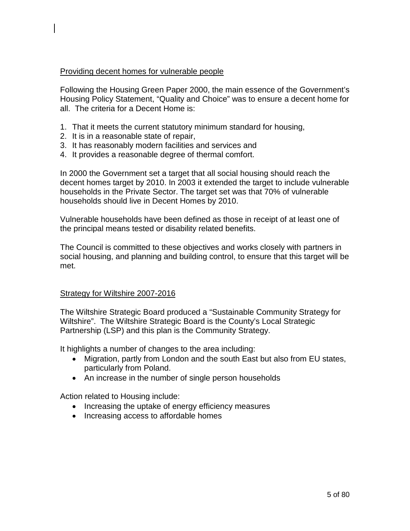### Providing decent homes for vulnerable people

Following the Housing Green Paper 2000, the main essence of the Government's Housing Policy Statement, "Quality and Choice" was to ensure a decent home for all. The criteria for a Decent Home is:

- 1. That it meets the current statutory minimum standard for housing,
- 2. It is in a reasonable state of repair,
- 3. It has reasonably modern facilities and services and
- 4. It provides a reasonable degree of thermal comfort.

In 2000 the Government set a target that all social housing should reach the decent homes target by 2010. In 2003 it extended the target to include vulnerable households in the Private Sector. The target set was that 70% of vulnerable households should live in Decent Homes by 2010.

Vulnerable households have been defined as those in receipt of at least one of the principal means tested or disability related benefits.

The Council is committed to these objectives and works closely with partners in social housing, and planning and building control, to ensure that this target will be met.

### Strategy for Wiltshire 2007-2016

The Wiltshire Strategic Board produced a "Sustainable Community Strategy for Wiltshire". The Wiltshire Strategic Board is the County's Local Strategic Partnership (LSP) and this plan is the Community Strategy.

It highlights a number of changes to the area including:

- Migration, partly from London and the south East but also from EU states, particularly from Poland.
- An increase in the number of single person households

Action related to Housing include:

- Increasing the uptake of energy efficiency measures
- Increasing access to affordable homes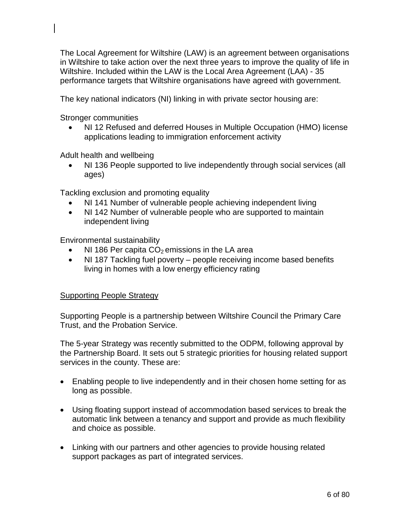The Local Agreement for Wiltshire (LAW) is an agreement between organisations in Wiltshire to take action over the next three years to improve the quality of life in Wiltshire. Included within the LAW is the Local Area Agreement (LAA) - 35 performance targets that Wiltshire organisations have agreed with government.

The key national indicators (NI) linking in with private sector housing are:

Stronger communities

• NI 12 Refused and deferred Houses in Multiple Occupation (HMO) license applications leading to immigration enforcement activity

Adult health and wellbeing

• NI 136 People supported to live independently through social services (all ages)

Tackling exclusion and promoting equality

- NI 141 Number of vulnerable people achieving independent living
- NI 142 Number of vulnerable people who are supported to maintain independent living

Environmental sustainability

- NI 186 Per capita  $CO<sub>2</sub>$  emissions in the LA area
- NI 187 Tackling fuel poverty people receiving income based benefits living in homes with a low energy efficiency rating

## Supporting People Strategy

Supporting People is a partnership between Wiltshire Council the Primary Care Trust, and the Probation Service.

The 5-year Strategy was recently submitted to the ODPM, following approval by the Partnership Board. It sets out 5 strategic priorities for housing related support services in the county. These are:

- Enabling people to live independently and in their chosen home setting for as long as possible.
- Using floating support instead of accommodation based services to break the automatic link between a tenancy and support and provide as much flexibility and choice as possible.
- Linking with our partners and other agencies to provide housing related support packages as part of integrated services.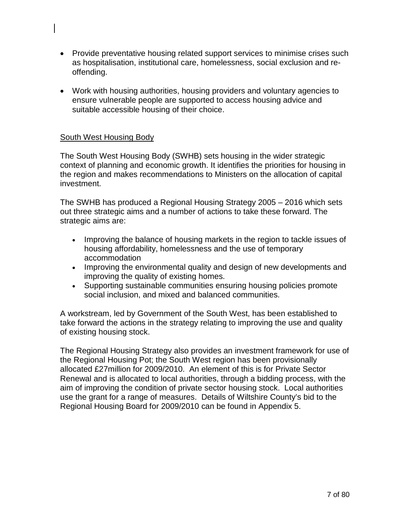- Provide preventative housing related support services to minimise crises such as hospitalisation, institutional care, homelessness, social exclusion and reoffending.
- Work with housing authorities, housing providers and voluntary agencies to ensure vulnerable people are supported to access housing advice and suitable accessible housing of their choice.

## South West Housing Body

The South West Housing Body (SWHB) sets housing in the wider strategic context of planning and economic growth. It identifies the priorities for housing in the region and makes recommendations to Ministers on the allocation of capital investment.

The SWHB has produced a Regional Housing Strategy 2005 – 2016 which sets out three strategic aims and a number of actions to take these forward. The strategic aims are:

- Improving the balance of housing markets in the region to tackle issues of housing affordability, homelessness and the use of temporary accommodation
- Improving the environmental quality and design of new developments and improving the quality of existing homes.
- Supporting sustainable communities ensuring housing policies promote social inclusion, and mixed and balanced communities.

A workstream, led by Government of the South West, has been established to take forward the actions in the strategy relating to improving the use and quality of existing housing stock.

The Regional Housing Strategy also provides an investment framework for use of the Regional Housing Pot; the South West region has been provisionally allocated £27million for 2009/2010. An element of this is for Private Sector Renewal and is allocated to local authorities, through a bidding process, with the aim of improving the condition of private sector housing stock. Local authorities use the grant for a range of measures. Details of Wiltshire County's bid to the Regional Housing Board for 2009/2010 can be found in Appendix 5.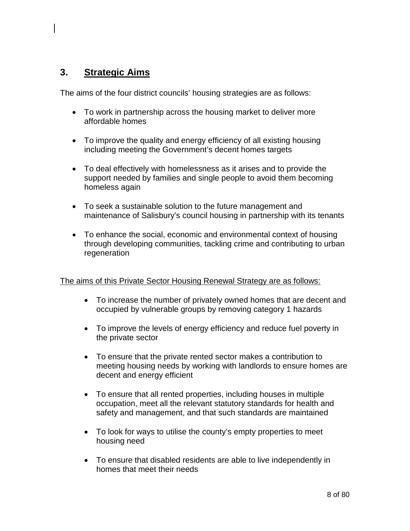# **3. Strategic Aims**

The aims of the four district councils' housing strategies are as follows:

- To work in partnership across the housing market to deliver more affordable homes
- To improve the quality and energy efficiency of all existing housing including meeting the Government's decent homes targets
- To deal effectively with homelessness as it arises and to provide the support needed by families and single people to avoid them becoming homeless again
- To seek a sustainable solution to the future management and maintenance of Salisbury's council housing in partnership with its tenants
- To enhance the social, economic and environmental context of housing through developing communities, tackling crime and contributing to urban regeneration

## The aims of this Private Sector Housing Renewal Strategy are as follows:

- To increase the number of privately owned homes that are decent and occupied by vulnerable groups by removing category 1 hazards
- To improve the levels of energy efficiency and reduce fuel poverty in the private sector
- To ensure that the private rented sector makes a contribution to meeting housing needs by working with landlords to ensure homes are decent and energy efficient
- To ensure that all rented properties, including houses in multiple occupation, meet all the relevant statutory standards for health and safety and management, and that such standards are maintained
- To look for ways to utilise the county's empty properties to meet housing need
- To ensure that disabled residents are able to live independently in homes that meet their needs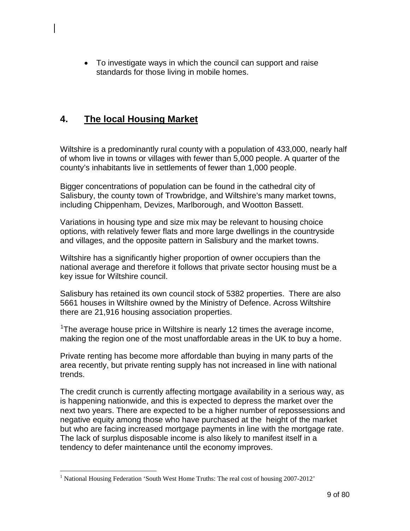• To investigate ways in which the council can support and raise standards for those living in mobile homes.

# **4. The local Housing Market**

Wiltshire is a predominantly rural county with a population of 433,000, nearly half of whom live in towns or villages with fewer than 5,000 people. A quarter of the county's inhabitants live in settlements of fewer than 1,000 people.

Bigger concentrations of population can be found in the cathedral city of Salisbury, the county town of Trowbridge, and Wiltshire's many market towns, including Chippenham, Devizes, Marlborough, and Wootton Bassett.

Variations in housing type and size mix may be relevant to housing choice options, with relatively fewer flats and more large dwellings in the countryside and villages, and the opposite pattern in Salisbury and the market towns.

Wiltshire has a significantly higher proportion of owner occupiers than the national average and therefore it follows that private sector housing must be a key issue for Wiltshire council.

Salisbury has retained its own council stock of 5382 properties. There are also 5661 houses in Wiltshire owned by the Ministry of Defence. Across Wiltshire there are 21,916 housing association properties.

<sup>[1](#page-8-0)</sup>The average house price in Wiltshire is nearly 12 times the average income, making the region one of the most unaffordable areas in the UK to buy a home.

Private renting has become more affordable than buying in many parts of the area recently, but private renting supply has not increased in line with national trends.

The credit crunch is currently affecting mortgage availability in a serious way, as is happening nationwide, and this is expected to depress the market over the next two years. There are expected to be a higher number of repossessions and negative equity among those who have purchased at the height of the market but who are facing increased mortgage payments in line with the mortgage rate. The lack of surplus disposable income is also likely to manifest itself in a tendency to defer maintenance until the economy improves.

<span id="page-8-0"></span><sup>&</sup>lt;sup>1</sup> National Housing Federation 'South West Home Truths: The real cost of housing 2007-2012'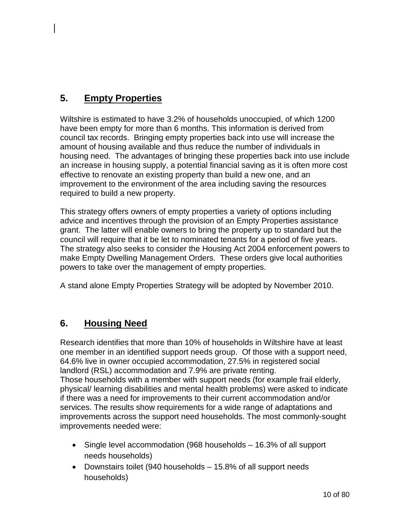# **5. Empty Properties**

Wiltshire is estimated to have 3.2% of households unoccupied, of which 1200 have been empty for more than 6 months. This information is derived from council tax records. Bringing empty properties back into use will increase the amount of housing available and thus reduce the number of individuals in housing need. The advantages of bringing these properties back into use include an increase in housing supply, a potential financial saving as it is often more cost effective to renovate an existing property than build a new one, and an improvement to the environment of the area including saving the resources required to build a new property.

This strategy offers owners of empty properties a variety of options including advice and incentives through the provision of an Empty Properties assistance grant. The latter will enable owners to bring the property up to standard but the council will require that it be let to nominated tenants for a period of five years. The strategy also seeks to consider the Housing Act 2004 enforcement powers to make Empty Dwelling Management Orders. These orders give local authorities powers to take over the management of empty properties.

A stand alone Empty Properties Strategy will be adopted by November 2010.

# **6. Housing Need**

Research identifies that more than 10% of households in Wiltshire have at least one member in an identified support needs group. Of those with a support need, 64.6% live in owner occupied accommodation, 27.5% in registered social landlord (RSL) accommodation and 7.9% are private renting.

Those households with a member with support needs (for example frail elderly, physical/ learning disabilities and mental health problems) were asked to indicate if there was a need for improvements to their current accommodation and/or services. The results show requirements for a wide range of adaptations and improvements across the support need households. The most commonly-sought improvements needed were:

- Single level accommodation (968 households 16.3% of all support needs households)
- Downstairs toilet (940 households 15.8% of all support needs households)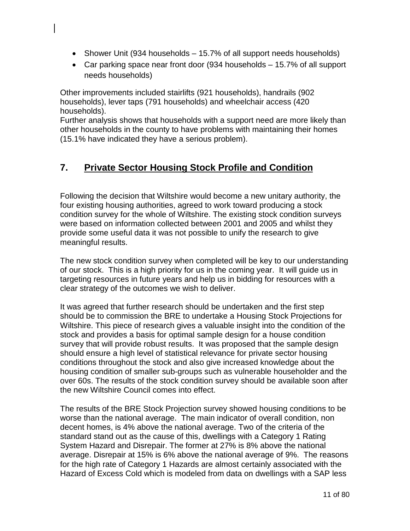- Shower Unit (934 households 15.7% of all support needs households)
- Car parking space near front door (934 households 15.7% of all support needs households)

Other improvements included stairlifts (921 households), handrails (902 households), lever taps (791 households) and wheelchair access (420 households).

Further analysis shows that households with a support need are more likely than other households in the county to have problems with maintaining their homes (15.1% have indicated they have a serious problem).

# **7. Private Sector Housing Stock Profile and Condition**

Following the decision that Wiltshire would become a new unitary authority, the four existing housing authorities, agreed to work toward producing a stock condition survey for the whole of Wiltshire. The existing stock condition surveys were based on information collected between 2001 and 2005 and whilst they provide some useful data it was not possible to unify the research to give meaningful results.

The new stock condition survey when completed will be key to our understanding of our stock. This is a high priority for us in the coming year. It will guide us in targeting resources in future years and help us in bidding for resources with a clear strategy of the outcomes we wish to deliver.

It was agreed that further research should be undertaken and the first step should be to commission the BRE to undertake a Housing Stock Projections for Wiltshire. This piece of research gives a valuable insight into the condition of the stock and provides a basis for optimal sample design for a house condition survey that will provide robust results. It was proposed that the sample design should ensure a high level of statistical relevance for private sector housing conditions throughout the stock and also give increased knowledge about the housing condition of smaller sub-groups such as vulnerable householder and the over 60s. The results of the stock condition survey should be available soon after the new Wiltshire Council comes into effect.

The results of the BRE Stock Projection survey showed housing conditions to be worse than the national average. The main indicator of overall condition, non decent homes, is 4% above the national average. Two of the criteria of the standard stand out as the cause of this, dwellings with a Category 1 Rating System Hazard and Disrepair. The former at 27% is 8% above the national average. Disrepair at 15% is 6% above the national average of 9%. The reasons for the high rate of Category 1 Hazards are almost certainly associated with the Hazard of Excess Cold which is modeled from data on dwellings with a SAP less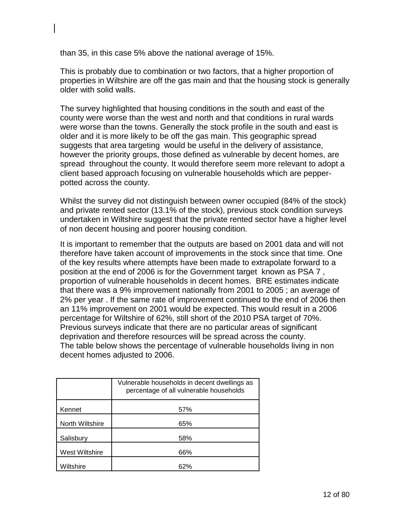than 35, in this case 5% above the national average of 15%.

This is probably due to combination or two factors, that a higher proportion of properties in Wiltshire are off the gas main and that the housing stock is generally older with solid walls.

The survey highlighted that housing conditions in the south and east of the county were worse than the west and north and that conditions in rural wards were worse than the towns. Generally the stock profile in the south and east is older and it is more likely to be off the gas main. This geographic spread suggests that area targeting would be useful in the delivery of assistance, however the priority groups, those defined as vulnerable by decent homes, are spread throughout the county. It would therefore seem more relevant to adopt a client based approach focusing on vulnerable households which are pepperpotted across the county.

Whilst the survey did not distinguish between owner occupied (84% of the stock) and private rented sector (13.1% of the stock), previous stock condition surveys undertaken in Wiltshire suggest that the private rented sector have a higher level of non decent housing and poorer housing condition.

It is important to remember that the outputs are based on 2001 data and will not therefore have taken account of improvements in the stock since that time. One of the key results where attempts have been made to extrapolate forward to a position at the end of 2006 is for the Government target known as PSA 7 , proportion of vulnerable households in decent homes. BRE estimates indicate that there was a 9% improvement nationally from 2001 to 2005 ; an average of 2% per year . If the same rate of improvement continued to the end of 2006 then an 11% improvement on 2001 would be expected. This would result in a 2006 percentage for Wiltshire of 62%, still short of the 2010 PSA target of 70%. Previous surveys indicate that there are no particular areas of significant deprivation and therefore resources will be spread across the county. The table below shows the percentage of vulnerable households living in non decent homes adjusted to 2006.

|                 | Vulnerable households in decent dwellings as<br>percentage of all vulnerable households |
|-----------------|-----------------------------------------------------------------------------------------|
| Kennet          | 57%                                                                                     |
| North Wiltshire | 65%                                                                                     |
| Salisbury       | 58%                                                                                     |
| West Wiltshire  | 66%                                                                                     |
| Wiltshire       | 62%                                                                                     |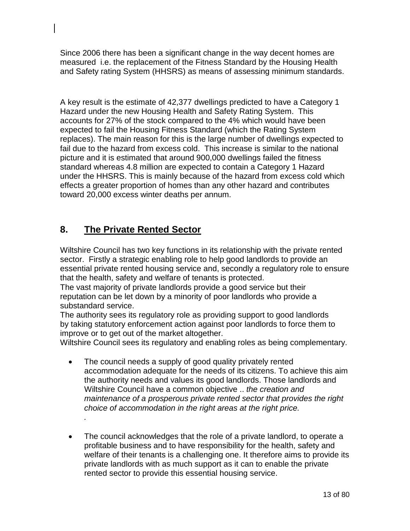Since 2006 there has been a significant change in the way decent homes are measured i.e. the replacement of the Fitness Standard by the Housing Health and Safety rating System (HHSRS) as means of assessing minimum standards.

A key result is the estimate of 42,377 dwellings predicted to have a Category 1 Hazard under the new Housing Health and Safety Rating System. This accounts for 27% of the stock compared to the 4% which would have been expected to fail the Housing Fitness Standard (which the Rating System replaces). The main reason for this is the large number of dwellings expected to fail due to the hazard from excess cold. This increase is similar to the national picture and it is estimated that around 900,000 dwellings failed the fitness standard whereas 4.8 million are expected to contain a Category 1 Hazard under the HHSRS. This is mainly because of the hazard from excess cold which effects a greater proportion of homes than any other hazard and contributes toward 20,000 excess winter deaths per annum.

# **8. The Private Rented Sector**

*.*

Wiltshire Council has two key functions in its relationship with the private rented sector.Firstly a strategic enabling role to help good landlords to provide an essential private rented housing service and, secondly a regulatory role to ensure that the health, safety and welfare of tenants is protected.

The vast majority of private landlords provide a good service but their reputation can be let down by a minority of poor landlords who provide a substandard service.

The authority sees its regulatory role as providing support to good landlords by taking statutory enforcement action against poor landlords to force them to improve or to get out of the market altogether.

Wiltshire Council sees its regulatory and enabling roles as being complementary.

- The council needs a supply of good quality privately rented accommodation adequate for the needs of its citizens. To achieve this aim the authority needs and values its good landlords. Those landlords and Wiltshire Council have a common objective .. *the creation and maintenance of a prosperous private rented sector that provides the right choice of accommodation in the right areas at the right price.*
- The council acknowledges that the role of a private landlord, to operate a profitable business and to have responsibility for the health, safety and welfare of their tenants is a challenging one. It therefore aims to provide its private landlords with as much support as it can to enable the private rented sector to provide this essential housing service.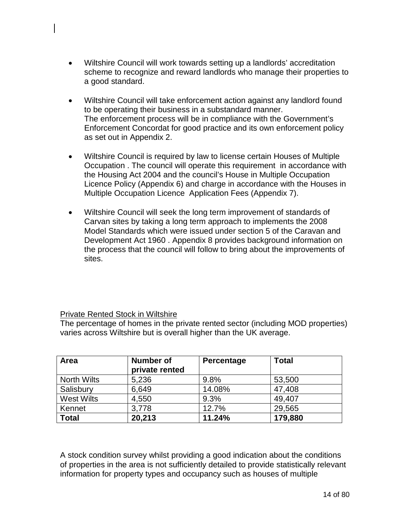- Wiltshire Council will work towards setting up a landlords' accreditation scheme to recognize and reward landlords who manage their properties to a good standard.
- Wiltshire Council will take enforcement action against any landlord found to be operating their business in a substandard manner. The enforcement process will be in compliance with the Government's Enforcement Concordat for good practice and its own enforcement policy as set out in Appendix 2.
- Wiltshire Council is required by law to license certain Houses of Multiple Occupation . The council will operate this requirement in accordance with the Housing Act 2004 and the council's House in Multiple Occupation Licence Policy (Appendix 6) and charge in accordance with the Houses in Multiple Occupation Licence Application Fees (Appendix 7).
- Wiltshire Council will seek the long term improvement of standards of Carvan sites by taking a long term approach to implements the 2008 Model Standards which were issued under section 5 of the Caravan and Development Act 1960 . Appendix 8 provides background information on the process that the council will follow to bring about the improvements of sites.

## Private Rented Stock in Wiltshire

The percentage of homes in the private rented sector (including MOD properties) varies across Wiltshire but is overall higher than the UK average.

| Area               | <b>Number of</b><br>private rented | Percentage | <b>Total</b> |
|--------------------|------------------------------------|------------|--------------|
| <b>North Wilts</b> | 5,236                              | 9.8%       | 53,500       |
| Salisbury          | 6,649                              | 14.08%     | 47,408       |
| <b>West Wilts</b>  | 4,550                              | 9.3%       | 49,407       |
| Kennet             | 3,778                              | 12.7%      | 29,565       |
| <b>Total</b>       | 20,213                             | 11.24%     | 179,880      |

A stock condition survey whilst providing a good indication about the conditions of properties in the area is not sufficiently detailed to provide statistically relevant information for property types and occupancy such as houses of multiple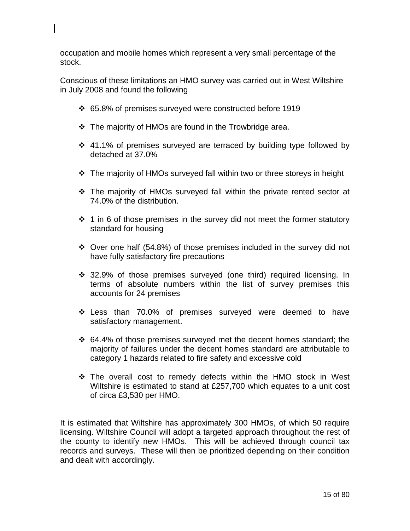occupation and mobile homes which represent a very small percentage of the stock.

Conscious of these limitations an HMO survey was carried out in West Wiltshire in July 2008 and found the following

- 65.8% of premises surveyed were constructed before 1919
- $\div$  The majority of HMOs are found in the Trowbridge area.
- $\div$  41.1% of premises surveyed are terraced by building type followed by detached at 37.0%
- The majority of HMOs surveyed fall within two or three storeys in height
- The majority of HMOs surveyed fall within the private rented sector at 74.0% of the distribution.
- $\div$  1 in 6 of those premises in the survey did not meet the former statutory standard for housing
- $\div$  Over one half (54.8%) of those premises included in the survey did not have fully satisfactory fire precautions
- 32.9% of those premises surveyed (one third) required licensing. In terms of absolute numbers within the list of survey premises this accounts for 24 premises
- Less than 70.0% of premises surveyed were deemed to have satisfactory management.
- 64.4% of those premises surveyed met the decent homes standard; the majority of failures under the decent homes standard are attributable to category 1 hazards related to fire safety and excessive cold
- The overall cost to remedy defects within the HMO stock in West Wiltshire is estimated to stand at £257,700 which equates to a unit cost of circa £3,530 per HMO.

It is estimated that Wiltshire has approximately 300 HMOs, of which 50 require licensing. Wiltshire Council will adopt a targeted approach throughout the rest of the county to identify new HMOs. This will be achieved through council tax records and surveys. These will then be prioritized depending on their condition and dealt with accordingly.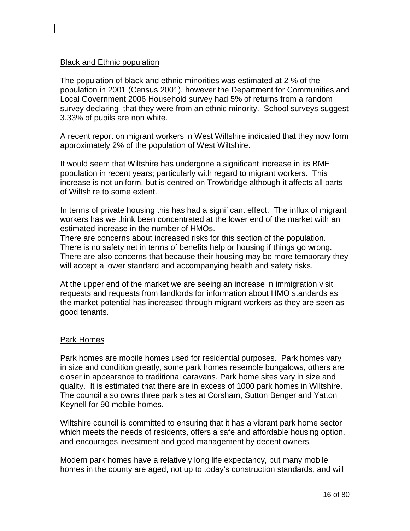## **Black and Ethnic population**

The population of black and ethnic minorities was estimated at 2 % of the population in 2001 (Census 2001), however the Department for Communities and Local Government 2006 Household survey had 5% of returns from a random survey declaring that they were from an ethnic minority. School surveys suggest 3.33% of pupils are non white.

A recent report on migrant workers in West Wiltshire indicated that they now form approximately 2% of the population of West Wiltshire.

It would seem that Wiltshire has undergone a significant increase in its BME population in recent years; particularly with regard to migrant workers. This increase is not uniform, but is centred on Trowbridge although it affects all parts of Wiltshire to some extent.

In terms of private housing this has had a significant effect. The influx of migrant workers has we think been concentrated at the lower end of the market with an estimated increase in the number of HMOs.

There are concerns about increased risks for this section of the population. There is no safety net in terms of benefits help or housing if things go wrong. There are also concerns that because their housing may be more temporary they will accept a lower standard and accompanying health and safety risks.

At the upper end of the market we are seeing an increase in immigration visit requests and requests from landlords for information about HMO standards as the market potential has increased through migrant workers as they are seen as good tenants.

## Park Homes

Park homes are mobile homes used for residential purposes. Park homes vary in size and condition greatly, some park homes resemble bungalows, others are closer in appearance to traditional caravans. Park home sites vary in size and quality. It is estimated that there are in excess of 1000 park homes in Wiltshire. The council also owns three park sites at Corsham, Sutton Benger and Yatton Keynell for 90 mobile homes.

Wiltshire council is committed to ensuring that it has a vibrant park home sector which meets the needs of residents, offers a safe and affordable housing option, and encourages investment and good management by decent owners.

Modern park homes have a relatively long life expectancy, but many mobile homes in the county are aged, not up to today's construction standards, and will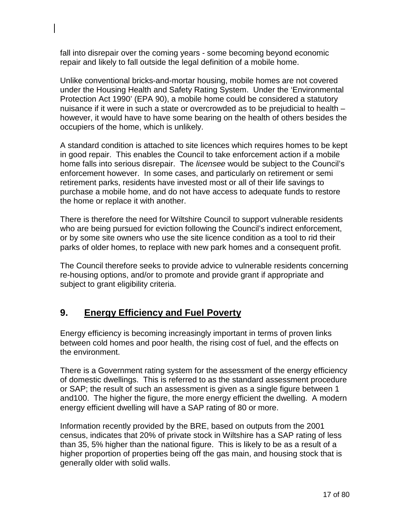fall into disrepair over the coming years - some becoming beyond economic repair and likely to fall outside the legal definition of a mobile home.

Unlike conventional bricks-and-mortar housing, mobile homes are not covered under the Housing Health and Safety Rating System. Under the 'Environmental Protection Act 1990' (EPA 90), a mobile home could be considered a statutory nuisance if it were in such a state or overcrowded as to be prejudicial to health – however, it would have to have some bearing on the health of others besides the occupiers of the home, which is unlikely.

A standard condition is attached to site licences which requires homes to be kept in good repair. This enables the Council to take enforcement action if a mobile home falls into serious disrepair. The *licensee* would be subject to the Council's enforcement however. In some cases, and particularly on retirement or semi retirement parks, residents have invested most or all of their life savings to purchase a mobile home, and do not have access to adequate funds to restore the home or replace it with another.

There is therefore the need for Wiltshire Council to support vulnerable residents who are being pursued for eviction following the Council's indirect enforcement, or by some site owners who use the site licence condition as a tool to rid their parks of older homes, to replace with new park homes and a consequent profit.

The Council therefore seeks to provide advice to vulnerable residents concerning re-housing options, and/or to promote and provide grant if appropriate and subject to grant eligibility criteria.

# **9. Energy Efficiency and Fuel Poverty**

Energy efficiency is becoming increasingly important in terms of proven links between cold homes and poor health, the rising cost of fuel, and the effects on the environment.

There is a Government rating system for the assessment of the energy efficiency of domestic dwellings. This is referred to as the standard assessment procedure or SAP; the result of such an assessment is given as a single figure between 1 and100. The higher the figure, the more energy efficient the dwelling. A modern energy efficient dwelling will have a SAP rating of 80 or more.

Information recently provided by the BRE, based on outputs from the 2001 census, indicates that 20% of private stock in Wiltshire has a SAP rating of less than 35, 5% higher than the national figure. This is likely to be as a result of a higher proportion of properties being off the gas main, and housing stock that is generally older with solid walls.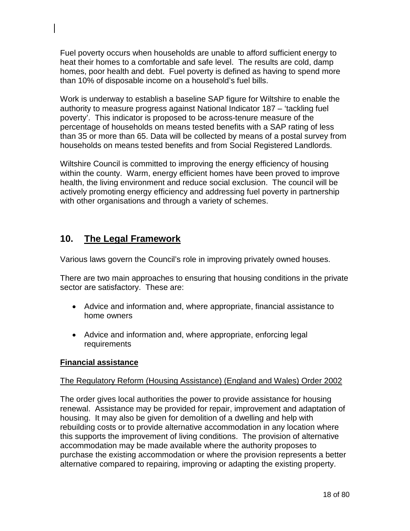Fuel poverty occurs when households are unable to afford sufficient energy to heat their homes to a comfortable and safe level. The results are cold, damp homes, poor health and debt. Fuel poverty is defined as having to spend more than 10% of disposable income on a household's fuel bills.

Work is underway to establish a baseline SAP figure for Wiltshire to enable the authority to measure progress against National Indicator 187 – 'tackling fuel poverty'. This indicator is proposed to be across-tenure measure of the percentage of households on means tested benefits with a SAP rating of less than 35 or more than 65. Data will be collected by means of a postal survey from households on means tested benefits and from Social Registered Landlords.

Wiltshire Council is committed to improving the energy efficiency of housing within the county. Warm, energy efficient homes have been proved to improve health, the living environment and reduce social exclusion. The council will be actively promoting energy efficiency and addressing fuel poverty in partnership with other organisations and through a variety of schemes.

# **10. The Legal Framework**

Various laws govern the Council's role in improving privately owned houses.

There are two main approaches to ensuring that housing conditions in the private sector are satisfactory. These are:

- Advice and information and, where appropriate, financial assistance to home owners
- Advice and information and, where appropriate, enforcing legal requirements

# **Financial assistance**

# The Regulatory Reform (Housing Assistance) (England and Wales) Order 2002

The order gives local authorities the power to provide assistance for housing renewal. Assistance may be provided for repair, improvement and adaptation of housing. It may also be given for demolition of a dwelling and help with rebuilding costs or to provide alternative accommodation in any location where this supports the improvement of living conditions. The provision of alternative accommodation may be made available where the authority proposes to purchase the existing accommodation or where the provision represents a better alternative compared to repairing, improving or adapting the existing property.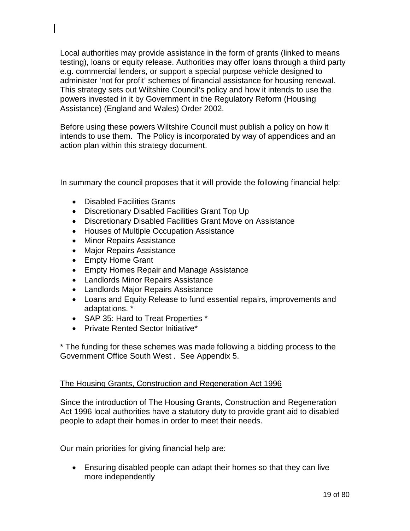Local authorities may provide assistance in the form of grants (linked to means testing), loans or equity release. Authorities may offer loans through a third party e.g. commercial lenders, or support a special purpose vehicle designed to administer 'not for profit' schemes of financial assistance for housing renewal. This strategy sets out Wiltshire Council's policy and how it intends to use the powers invested in it by Government in the Regulatory Reform (Housing Assistance) (England and Wales) Order 2002.

Before using these powers Wiltshire Council must publish a policy on how it intends to use them. The Policy is incorporated by way of appendices and an action plan within this strategy document.

In summary the council proposes that it will provide the following financial help:

- Disabled Facilities Grants
- Discretionary Disabled Facilities Grant Top Up
- Discretionary Disabled Facilities Grant Move on Assistance
- Houses of Multiple Occupation Assistance
- Minor Repairs Assistance
- Major Repairs Assistance
- Empty Home Grant
- Empty Homes Repair and Manage Assistance
- Landlords Minor Repairs Assistance
- Landlords Major Repairs Assistance
- Loans and Equity Release to fund essential repairs, improvements and adaptations. \*
- SAP 35: Hard to Treat Properties \*
- Private Rented Sector Initiative\*

\* The funding for these schemes was made following a bidding process to the Government Office South West . See Appendix 5.

## The Housing Grants, Construction and Regeneration Act 1996

Since the introduction of The Housing Grants, Construction and Regeneration Act 1996 local authorities have a statutory duty to provide grant aid to disabled people to adapt their homes in order to meet their needs.

Our main priorities for giving financial help are:

• Ensuring disabled people can adapt their homes so that they can live more independently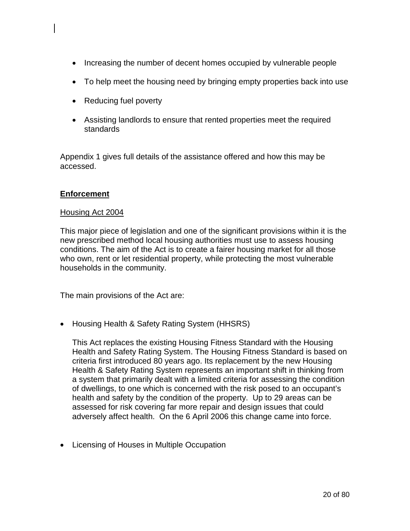- Increasing the number of decent homes occupied by vulnerable people
- To help meet the housing need by bringing empty properties back into use
- Reducing fuel poverty
- Assisting landlords to ensure that rented properties meet the required standards

Appendix 1 gives full details of the assistance offered and how this may be accessed.

# **Enforcement**

### Housing Act 2004

This major piece of legislation and one of the significant provisions within it is the new prescribed method local housing authorities must use to assess housing conditions. The aim of the Act is to create a fairer housing market for all those who own, rent or let residential property, while protecting the most vulnerable households in the community.

The main provisions of the Act are:

• Housing Health & Safety Rating System (HHSRS)

This Act replaces the existing Housing Fitness Standard with the Housing Health and Safety Rating System. The Housing Fitness Standard is based on criteria first introduced 80 years ago. Its replacement by the new Housing Health & Safety Rating System represents an important shift in thinking from a system that primarily dealt with a limited criteria for assessing the condition of dwellings, to one which is concerned with the risk posed to an occupant's health and safety by the condition of the property. Up to 29 areas can be assessed for risk covering far more repair and design issues that could adversely affect health. On the 6 April 2006 this change came into force.

• Licensing of Houses in Multiple Occupation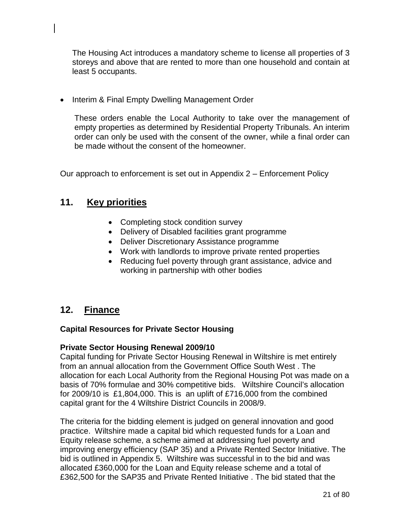The Housing Act introduces a mandatory scheme to license all properties of 3 storeys and above that are rented to more than one household and contain at least 5 occupants.

• Interim & Final Empty Dwelling Management Order

These orders enable the Local Authority to take over the management of empty properties as determined by Residential Property Tribunals. An interim order can only be used with the consent of the owner, while a final order can be made without the consent of the homeowner.

Our approach to enforcement is set out in Appendix 2 – Enforcement Policy

# **11. Key priorities**

- Completing stock condition survey
- Delivery of Disabled facilities grant programme
- Deliver Discretionary Assistance programme
- Work with landlords to improve private rented properties
- Reducing fuel poverty through grant assistance, advice and working in partnership with other bodies

# **12. Finance**

## **Capital Resources for Private Sector Housing**

## **Private Sector Housing Renewal 2009/10**

Capital funding for Private Sector Housing Renewal in Wiltshire is met entirely from an annual allocation from the Government Office South West . The allocation for each Local Authority from the Regional Housing Pot was made on a basis of 70% formulae and 30% competitive bids. Wiltshire Council's allocation for 2009/10 is £1,804,000. This is an uplift of £716,000 from the combined capital grant for the 4 Wiltshire District Councils in 2008/9.

The criteria for the bidding element is judged on general innovation and good practice. Wiltshire made a capital bid which requested funds for a Loan and Equity release scheme, a scheme aimed at addressing fuel poverty and improving energy efficiency (SAP 35) and a Private Rented Sector Initiative. The bid is outlined in Appendix 5. Wiltshire was successful in to the bid and was allocated £360,000 for the Loan and Equity release scheme and a total of £362,500 for the SAP35 and Private Rented Initiative . The bid stated that the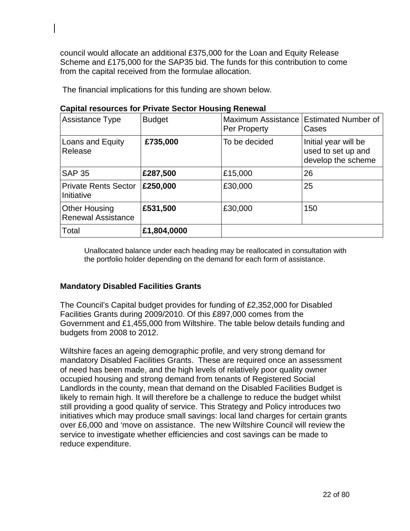council would allocate an additional £375,000 for the Loan and Equity Release Scheme and £175,000 for the SAP35 bid. The funds for this contribution to come from the capital received from the formulae allocation.

The financial implications for this funding are shown below.

| Capital It Soul Ces Tol T Tivate Sector Housing Kenewal |               |                                    |                                                                  |
|---------------------------------------------------------|---------------|------------------------------------|------------------------------------------------------------------|
| <b>Assistance Type</b>                                  | <b>Budget</b> | Maximum Assistance<br>Per Property | <b>Estimated Number of</b><br>Cases                              |
| Loans and Equity<br>Release                             | £735,000      | To be decided                      | Initial year will be<br>used to set up and<br>develop the scheme |
| <b>SAP 35</b>                                           | £287,500      | £15,000                            | 26                                                               |
| <b>Private Rents Sector</b><br>Initiative               | £250,000      | £30,000                            | 25                                                               |
| <b>Other Housing</b><br><b>Renewal Assistance</b>       | £531,500      | £30,000                            | 150                                                              |
| Total                                                   | £1,804,0000   |                                    |                                                                  |

# **Capital resources for Private Sector Housing Renewal**

Unallocated balance under each heading may be reallocated in consultation with the portfolio holder depending on the demand for each form of assistance.

## **Mandatory Disabled Facilities Grants**

The Council's Capital budget provides for funding of £2,352,000 for Disabled Facilities Grants during 2009/2010. Of this £897,000 comes from the Government and £1,455,000 from Wiltshire. The table below details funding and budgets from 2008 to 2012.

Wiltshire faces an ageing demographic profile, and very strong demand for mandatory Disabled Facilities Grants. These are required once an assessment of need has been made, and the high levels of relatively poor quality owner occupied housing and strong demand from tenants of Registered Social Landlords in the county, mean that demand on the Disabled Facilities Budget is likely to remain high. It will therefore be a challenge to reduce the budget whilst still providing a good quality of service. This Strategy and Policy introduces two initiatives which may produce small savings: local land charges for certain grants over £6,000 and 'move on assistance. The new Wiltshire Council will review the service to investigate whether efficiencies and cost savings can be made to reduce expenditure.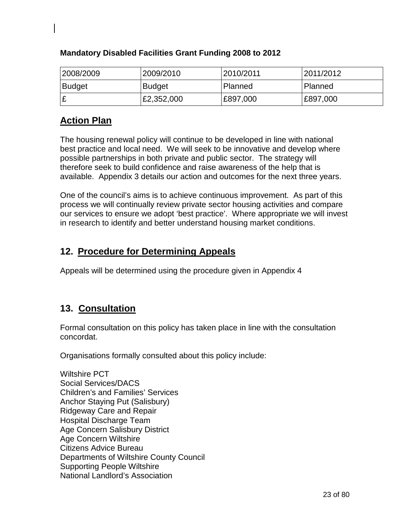| 2008/2009     | 2009/2010     | 2010/2011 | 2011/2012 |
|---------------|---------------|-----------|-----------|
| <b>Budget</b> | <b>Budget</b> | Planned   | Planned   |
|               | £2,352,000    | £897,000  | E897,000  |

# **Mandatory Disabled Facilities Grant Funding 2008 to 2012**

# **Action Plan**

The housing renewal policy will continue to be developed in line with national best practice and local need. We will seek to be innovative and develop where possible partnerships in both private and public sector. The strategy will therefore seek to build confidence and raise awareness of the help that is available. Appendix 3 details our action and outcomes for the next three years.

One of the council's aims is to achieve continuous improvement. As part of this process we will continually review private sector housing activities and compare our services to ensure we adopt 'best practice'. Where appropriate we will invest in research to identify and better understand housing market conditions.

# **12. Procedure for Determining Appeals**

Appeals will be determined using the procedure given in Appendix 4

# **13. Consultation**

Formal consultation on this policy has taken place in line with the consultation concordat.

Organisations formally consulted about this policy include:

Wiltshire PCT Social Services/DACS Children's and Families' Services Anchor Staying Put (Salisbury) Ridgeway Care and Repair Hospital Discharge Team Age Concern Salisbury District Age Concern Wiltshire Citizens Advice Bureau Departments of Wiltshire County Council Supporting People Wiltshire National Landlord's Association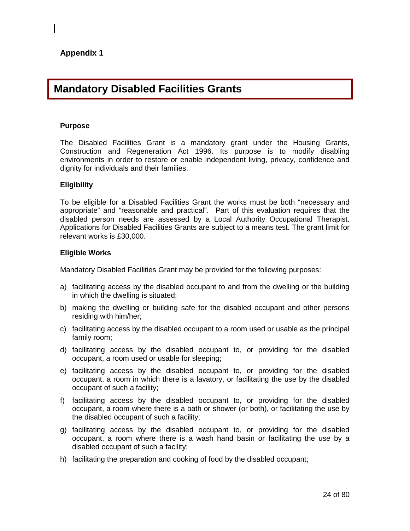# **Mandatory Disabled Facilities Grants**

#### **Purpose**

The Disabled Facilities Grant is a mandatory grant under the Housing Grants, Construction and Regeneration Act 1996. Its purpose is to modify disabling environments in order to restore or enable independent living, privacy, confidence and dignity for individuals and their families.

#### **Eligibility**

To be eligible for a Disabled Facilities Grant the works must be both "necessary and appropriate" and "reasonable and practical". Part of this evaluation requires that the disabled person needs are assessed by a Local Authority Occupational Therapist. Applications for Disabled Facilities Grants are subject to a means test. The grant limit for relevant works is £30,000.

#### **Eligible Works**

Mandatory Disabled Facilities Grant may be provided for the following purposes:

- a) facilitating access by the disabled occupant to and from the dwelling or the building in which the dwelling is situated;
- b) making the dwelling or building safe for the disabled occupant and other persons residing with him/her;
- c) facilitating access by the disabled occupant to a room used or usable as the principal family room;
- d) facilitating access by the disabled occupant to, or providing for the disabled occupant, a room used or usable for sleeping;
- e) facilitating access by the disabled occupant to, or providing for the disabled occupant, a room in which there is a lavatory, or facilitating the use by the disabled occupant of such a facility;
- f) facilitating access by the disabled occupant to, or providing for the disabled occupant, a room where there is a bath or shower (or both), or facilitating the use by the disabled occupant of such a facility;
- g) facilitating access by the disabled occupant to, or providing for the disabled occupant, a room where there is a wash hand basin or facilitating the use by a disabled occupant of such a facility;
- h) facilitating the preparation and cooking of food by the disabled occupant;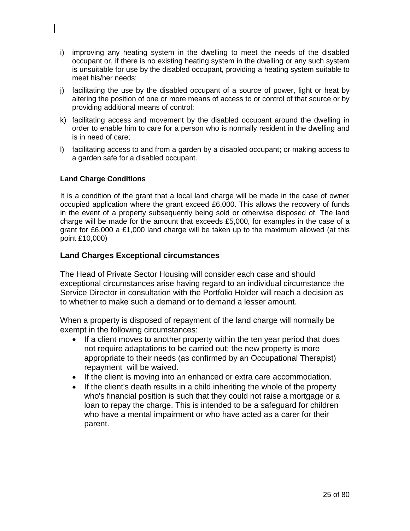- i) improving any heating system in the dwelling to meet the needs of the disabled occupant or, if there is no existing heating system in the dwelling or any such system is unsuitable for use by the disabled occupant, providing a heating system suitable to meet his/her needs;
- j) facilitating the use by the disabled occupant of a source of power, light or heat by altering the position of one or more means of access to or control of that source or by providing additional means of control;
- k) facilitating access and movement by the disabled occupant around the dwelling in order to enable him to care for a person who is normally resident in the dwelling and is in need of care;
- l) facilitating access to and from a garden by a disabled occupant; or making access to a garden safe for a disabled occupant.

## **Land Charge Conditions**

It is a condition of the grant that a local land charge will be made in the case of owner occupied application where the grant exceed £6,000. This allows the recovery of funds in the event of a property subsequently being sold or otherwise disposed of. The land charge will be made for the amount that exceeds £5,000, for examples in the case of a grant for £6,000 a £1,000 land charge will be taken up to the maximum allowed (at this point £10,000)

## **Land Charges Exceptional circumstances**

The Head of Private Sector Housing will consider each case and should exceptional circumstances arise having regard to an individual circumstance the Service Director in consultation with the Portfolio Holder will reach a decision as to whether to make such a demand or to demand a lesser amount.

When a property is disposed of repayment of the land charge will normally be exempt in the following circumstances:

- If a client moves to another property within the ten year period that does not require adaptations to be carried out; the new property is more appropriate to their needs (as confirmed by an Occupational Therapist) repayment will be waived.
- If the client is moving into an enhanced or extra care accommodation.
- If the client's death results in a child inheriting the whole of the property who's financial position is such that they could not raise a mortgage or a loan to repay the charge. This is intended to be a safeguard for children who have a mental impairment or who have acted as a carer for their parent.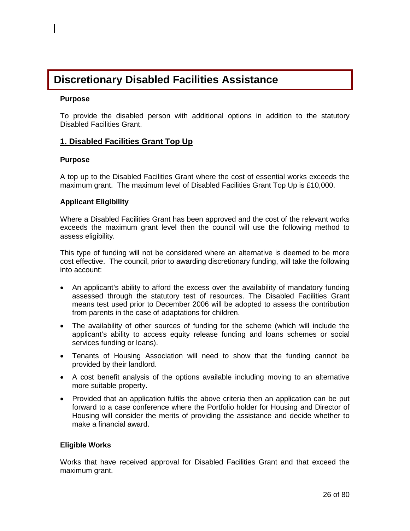# **Discretionary Disabled Facilities Assistance**

#### **Purpose**

To provide the disabled person with additional options in addition to the statutory Disabled Facilities Grant.

## **1. Disabled Facilities Grant Top Up**

### **Purpose**

A top up to the Disabled Facilities Grant where the cost of essential works exceeds the maximum grant. The maximum level of Disabled Facilities Grant Top Up is £10,000.

### **Applicant Eligibility**

Where a Disabled Facilities Grant has been approved and the cost of the relevant works exceeds the maximum grant level then the council will use the following method to assess eligibility.

This type of funding will not be considered where an alternative is deemed to be more cost effective. The council, prior to awarding discretionary funding, will take the following into account:

- An applicant's ability to afford the excess over the availability of mandatory funding assessed through the statutory test of resources. The Disabled Facilities Grant means test used prior to December 2006 will be adopted to assess the contribution from parents in the case of adaptations for children.
- The availability of other sources of funding for the scheme (which will include the applicant's ability to access equity release funding and loans schemes or social services funding or loans).
- Tenants of Housing Association will need to show that the funding cannot be provided by their landlord.
- A cost benefit analysis of the options available including moving to an alternative more suitable property.
- Provided that an application fulfils the above criteria then an application can be put forward to a case conference where the Portfolio holder for Housing and Director of Housing will consider the merits of providing the assistance and decide whether to make a financial award.

### **Eligible Works**

Works that have received approval for Disabled Facilities Grant and that exceed the maximum grant.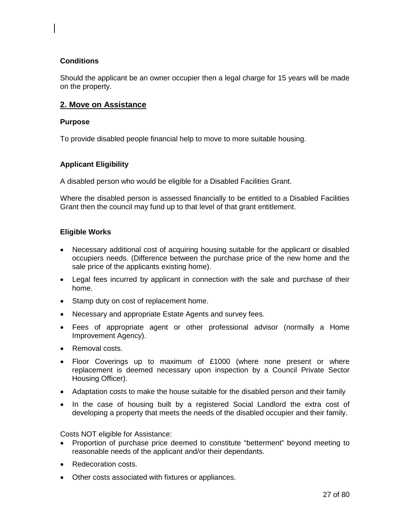### **Conditions**

Should the applicant be an owner occupier then a legal charge for 15 years will be made on the property.

## **2. Move on Assistance**

#### **Purpose**

To provide disabled people financial help to move to more suitable housing.

### **Applicant Eligibility**

A disabled person who would be eligible for a Disabled Facilities Grant.

Where the disabled person is assessed financially to be entitled to a Disabled Facilities Grant then the council may fund up to that level of that grant entitlement.

### **Eligible Works**

- Necessary additional cost of acquiring housing suitable for the applicant or disabled occupiers needs. (Difference between the purchase price of the new home and the sale price of the applicants existing home).
- Legal fees incurred by applicant in connection with the sale and purchase of their home.
- Stamp duty on cost of replacement home.
- Necessary and appropriate Estate Agents and survey fees.
- Fees of appropriate agent or other professional advisor (normally a Home Improvement Agency).
- Removal costs.
- Floor Coverings up to maximum of £1000 (where none present or where replacement is deemed necessary upon inspection by a Council Private Sector Housing Officer).
- Adaptation costs to make the house suitable for the disabled person and their family
- In the case of housing built by a registered Social Landlord the extra cost of developing a property that meets the needs of the disabled occupier and their family.

Costs NOT eligible for Assistance:

- Proportion of purchase price deemed to constitute "betterment" beyond meeting to reasonable needs of the applicant and/or their dependants.
- Redecoration costs.
- Other costs associated with fixtures or appliances.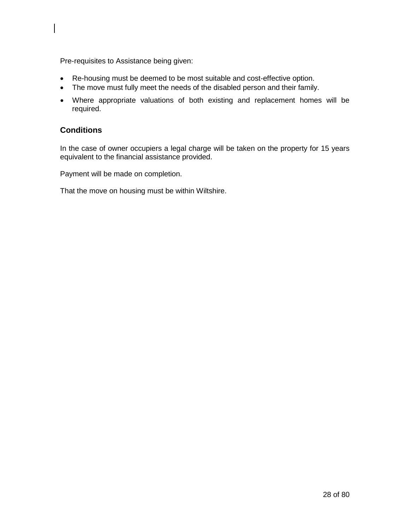Pre-requisites to Assistance being given:

- Re-housing must be deemed to be most suitable and cost-effective option.
- The move must fully meet the needs of the disabled person and their family.
- Where appropriate valuations of both existing and replacement homes will be required.

# **Conditions**

In the case of owner occupiers a legal charge will be taken on the property for 15 years equivalent to the financial assistance provided.

Payment will be made on completion.

That the move on housing must be within Wiltshire.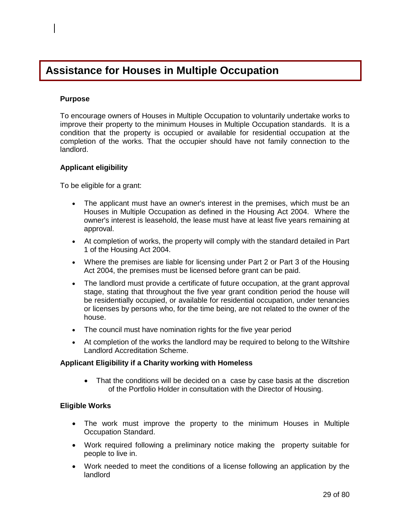# **Assistance for Houses in Multiple Occupation**

#### **Purpose**

To encourage owners of Houses in Multiple Occupation to voluntarily undertake works to improve their property to the minimum Houses in Multiple Occupation standards. It is a condition that the property is occupied or available for residential occupation at the completion of the works. That the occupier should have not family connection to the landlord.

### **Applicant eligibility**

To be eligible for a grant:

- The applicant must have an owner's interest in the premises, which must be an Houses in Multiple Occupation as defined in the Housing Act 2004. Where the owner's interest is leasehold, the lease must have at least five years remaining at approval.
- At completion of works, the property will comply with the standard detailed in Part 1 of the Housing Act 2004.
- Where the premises are liable for licensing under Part 2 or Part 3 of the Housing Act 2004, the premises must be licensed before grant can be paid.
- The landlord must provide a certificate of future occupation, at the grant approval stage, stating that throughout the five year grant condition period the house will be residentially occupied, or available for residential occupation, under tenancies or licenses by persons who, for the time being, are not related to the owner of the house.
- The council must have nomination rights for the five year period
- At completion of the works the landlord may be required to belong to the Wiltshire Landlord Accreditation Scheme.

#### **Applicant Eligibility if a Charity working with Homeless**

• That the conditions will be decided on a case by case basis at the discretion of the Portfolio Holder in consultation with the Director of Housing.

### **Eligible Works**

- The work must improve the property to the minimum Houses in Multiple Occupation Standard.
- Work required following a preliminary notice making the property suitable for people to live in.
- Work needed to meet the conditions of a license following an application by the landlord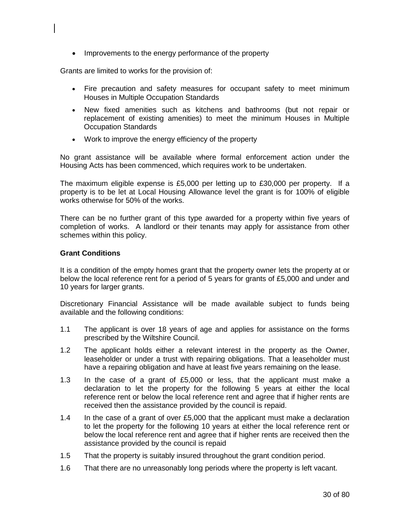• Improvements to the energy performance of the property

Grants are limited to works for the provision of:

- Fire precaution and safety measures for occupant safety to meet minimum Houses in Multiple Occupation Standards
- New fixed amenities such as kitchens and bathrooms (but not repair or replacement of existing amenities) to meet the minimum Houses in Multiple Occupation Standards
- Work to improve the energy efficiency of the property

No grant assistance will be available where formal enforcement action under the Housing Acts has been commenced, which requires work to be undertaken.

The maximum eligible expense is £5,000 per letting up to £30,000 per property. If a property is to be let at Local Housing Allowance level the grant is for 100% of eligible works otherwise for 50% of the works.

There can be no further grant of this type awarded for a property within five years of completion of works. A landlord or their tenants may apply for assistance from other schemes within this policy.

#### **Grant Conditions**

It is a condition of the empty homes grant that the property owner lets the property at or below the local reference rent for a period of 5 years for grants of £5,000 and under and 10 years for larger grants.

Discretionary Financial Assistance will be made available subject to funds being available and the following conditions:

- 1.1 The applicant is over 18 years of age and applies for assistance on the forms prescribed by the Wiltshire Council.
- 1.2 The applicant holds either a relevant interest in the property as the Owner, leaseholder or under a trust with repairing obligations. That a leaseholder must have a repairing obligation and have at least five years remaining on the lease.
- 1.3 In the case of a grant of £5,000 or less, that the applicant must make a declaration to let the property for the following 5 years at either the local reference rent or below the local reference rent and agree that if higher rents are received then the assistance provided by the council is repaid.
- 1.4 In the case of a grant of over £5,000 that the applicant must make a declaration to let the property for the following 10 years at either the local reference rent or below the local reference rent and agree that if higher rents are received then the assistance provided by the council is repaid
- 1.5 That the property is suitably insured throughout the grant condition period.
- 1.6 That there are no unreasonably long periods where the property is left vacant.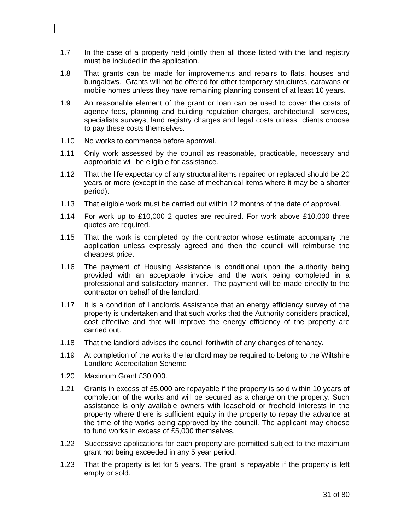- 1.7 In the case of a property held jointly then all those listed with the land registry must be included in the application.
- 1.8 That grants can be made for improvements and repairs to flats, houses and bungalows. Grants will not be offered for other temporary structures, caravans or mobile homes unless they have remaining planning consent of at least 10 years.
- 1.9 An reasonable element of the grant or loan can be used to cover the costs of agency fees, planning and building regulation charges, architectural services, specialists surveys, land registry charges and legal costs unless clients choose to pay these costs themselves.
- 1.10 No works to commence before approval.
- 1.11 Only work assessed by the council as reasonable, practicable, necessary and appropriate will be eligible for assistance.
- 1.12 That the life expectancy of any structural items repaired or replaced should be 20 years or more (except in the case of mechanical items where it may be a shorter period).
- 1.13 That eligible work must be carried out within 12 months of the date of approval.
- 1.14 For work up to £10,000 2 quotes are required. For work above £10,000 three quotes are required.
- 1.15 That the work is completed by the contractor whose estimate accompany the application unless expressly agreed and then the council will reimburse the cheapest price.
- 1.16 The payment of Housing Assistance is conditional upon the authority being provided with an acceptable invoice and the work being completed in a professional and satisfactory manner. The payment will be made directly to the contractor on behalf of the landlord.
- 1.17 It is a condition of Landlords Assistance that an energy efficiency survey of the property is undertaken and that such works that the Authority considers practical, cost effective and that will improve the energy efficiency of the property are carried out.
- 1.18 That the landlord advises the council forthwith of any changes of tenancy.
- 1.19 At completion of the works the landlord may be required to belong to the Wiltshire Landlord Accreditation Scheme
- 1.20 Maximum Grant £30,000.
- 1.21 Grants in excess of £5,000 are repayable if the property is sold within 10 years of completion of the works and will be secured as a charge on the property. Such assistance is only available owners with leasehold or freehold interests in the property where there is sufficient equity in the property to repay the advance at the time of the works being approved by the council. The applicant may choose to fund works in excess of £5,000 themselves.
- 1.22 Successive applications for each property are permitted subject to the maximum grant not being exceeded in any 5 year period.
- 1.23 That the property is let for 5 years. The grant is repayable if the property is left empty or sold.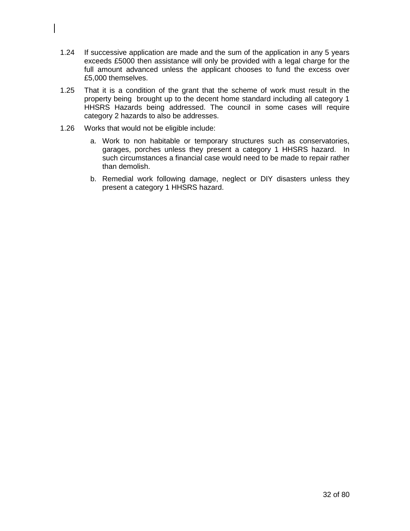- 1.24 If successive application are made and the sum of the application in any 5 years exceeds £5000 then assistance will only be provided with a legal charge for the full amount advanced unless the applicant chooses to fund the excess over £5,000 themselves.
- 1.25 That it is a condition of the grant that the scheme of work must result in the property being brought up to the decent home standard including all category 1 HHSRS Hazards being addressed. The council in some cases will require category 2 hazards to also be addresses.
- 1.26 Works that would not be eligible include:
	- a. Work to non habitable or temporary structures such as conservatories, garages, porches unless they present a category 1 HHSRS hazard. In such circumstances a financial case would need to be made to repair rather than demolish.
	- b. Remedial work following damage, neglect or DIY disasters unless they present a category 1 HHSRS hazard.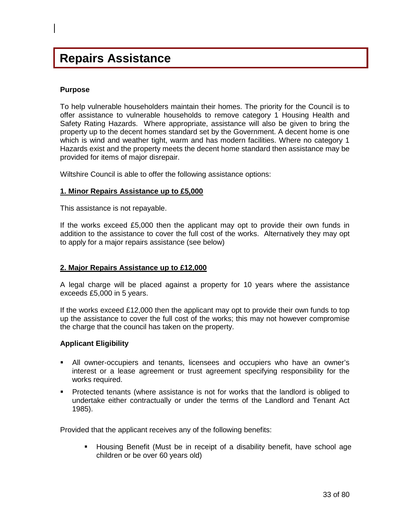# **Repairs Assistance**

#### **Purpose**

To help vulnerable householders maintain their homes. The priority for the Council is to offer assistance to vulnerable households to remove category 1 Housing Health and Safety Rating Hazards. Where appropriate, assistance will also be given to bring the property up to the decent homes standard set by the Government. A decent home is one which is wind and weather tight, warm and has modern facilities. Where no category 1 Hazards exist and the property meets the decent home standard then assistance may be provided for items of major disrepair.

Wiltshire Council is able to offer the following assistance options:

#### **1. Minor Repairs Assistance up to £5,000**

This assistance is not repayable.

If the works exceed £5,000 then the applicant may opt to provide their own funds in addition to the assistance to cover the full cost of the works. Alternatively they may opt to apply for a major repairs assistance (see below)

#### **2. Major Repairs Assistance up to £12,000**

A legal charge will be placed against a property for 10 years where the assistance exceeds £5,000 in 5 years.

If the works exceed £12,000 then the applicant may opt to provide their own funds to top up the assistance to cover the full cost of the works; this may not however compromise the charge that the council has taken on the property.

#### **Applicant Eligibility**

- All owner-occupiers and tenants, licensees and occupiers who have an owner's interest or a lease agreement or trust agreement specifying responsibility for the works required.
- Protected tenants (where assistance is not for works that the landlord is obliged to undertake either contractually or under the terms of the Landlord and Tenant Act 1985).

Provided that the applicant receives any of the following benefits:

 Housing Benefit (Must be in receipt of a disability benefit, have school age children or be over 60 years old)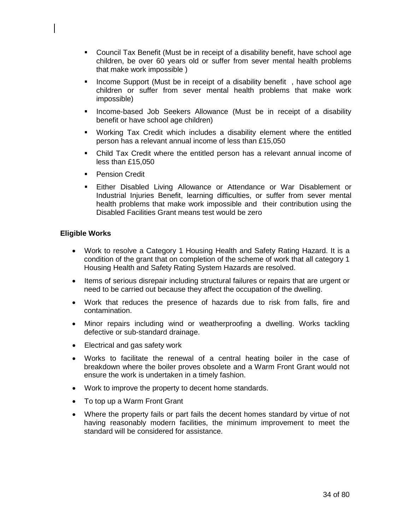- Council Tax Benefit (Must be in receipt of a disability benefit, have school age children, be over 60 years old or suffer from sever mental health problems that make work impossible )
- Income Support (Must be in receipt of a disability benefit, have school age children or suffer from sever mental health problems that make work impossible)
- **Income-based Job Seekers Allowance (Must be in receipt of a disability** benefit or have school age children)
- Working Tax Credit which includes a disability element where the entitled person has a relevant annual income of less than £15,050
- Child Tax Credit where the entitled person has a relevant annual income of less than £15,050
- **Pension Credit**
- Either Disabled Living Allowance or Attendance or War Disablement or Industrial Injuries Benefit, learning difficulties, or suffer from sever mental health problems that make work impossible and their contribution using the Disabled Facilities Grant means test would be zero

#### **Eligible Works**

- Work to resolve a Category 1 Housing Health and Safety Rating Hazard. It is a condition of the grant that on completion of the scheme of work that all category 1 Housing Health and Safety Rating System Hazards are resolved.
- Items of serious disrepair including structural failures or repairs that are urgent or need to be carried out because they affect the occupation of the dwelling.
- Work that reduces the presence of hazards due to risk from falls, fire and contamination.
- Minor repairs including wind or weatherproofing a dwelling. Works tackling defective or sub-standard drainage.
- Electrical and gas safety work
- Works to facilitate the renewal of a central heating boiler in the case of breakdown where the boiler proves obsolete and a Warm Front Grant would not ensure the work is undertaken in a timely fashion.
- Work to improve the property to decent home standards.
- To top up a Warm Front Grant
- Where the property fails or part fails the decent homes standard by virtue of not having reasonably modern facilities, the minimum improvement to meet the standard will be considered for assistance.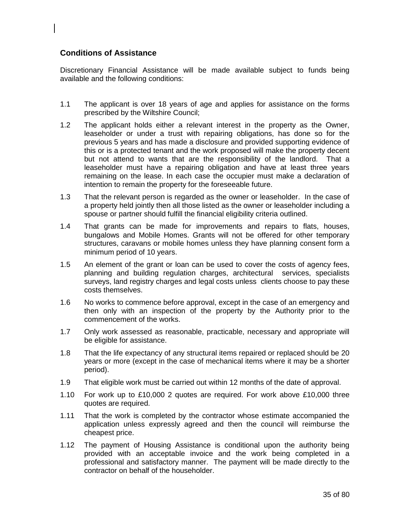### **Conditions of Assistance**

Discretionary Financial Assistance will be made available subject to funds being available and the following conditions:

- 1.1 The applicant is over 18 years of age and applies for assistance on the forms prescribed by the Wiltshire Council;
- 1.2 The applicant holds either a relevant interest in the property as the Owner, leaseholder or under a trust with repairing obligations, has done so for the previous 5 years and has made a disclosure and provided supporting evidence of this or is a protected tenant and the work proposed will make the property decent but not attend to wants that are the responsibility of the landlord. That a leaseholder must have a repairing obligation and have at least three years remaining on the lease. In each case the occupier must make a declaration of intention to remain the property for the foreseeable future.
- 1.3 That the relevant person is regarded as the owner or leaseholder. In the case of a property held jointly then all those listed as the owner or leaseholder including a spouse or partner should fulfill the financial eligibility criteria outlined.
- 1.4 That grants can be made for improvements and repairs to flats, houses, bungalows and Mobile Homes. Grants will not be offered for other temporary structures, caravans or mobile homes unless they have planning consent form a minimum period of 10 years.
- 1.5 An element of the grant or loan can be used to cover the costs of agency fees, planning and building regulation charges, architectural services, specialists surveys, land registry charges and legal costs unless clients choose to pay these costs themselves.
- 1.6 No works to commence before approval, except in the case of an emergency and then only with an inspection of the property by the Authority prior to the commencement of the works.
- 1.7 Only work assessed as reasonable, practicable, necessary and appropriate will be eligible for assistance.
- 1.8 That the life expectancy of any structural items repaired or replaced should be 20 years or more (except in the case of mechanical items where it may be a shorter period).
- 1.9 That eligible work must be carried out within 12 months of the date of approval.
- 1.10 For work up to £10,000 2 quotes are required. For work above £10,000 three quotes are required.
- 1.11 That the work is completed by the contractor whose estimate accompanied the application unless expressly agreed and then the council will reimburse the cheapest price.
- 1.12 The payment of Housing Assistance is conditional upon the authority being provided with an acceptable invoice and the work being completed in a professional and satisfactory manner. The payment will be made directly to the contractor on behalf of the householder.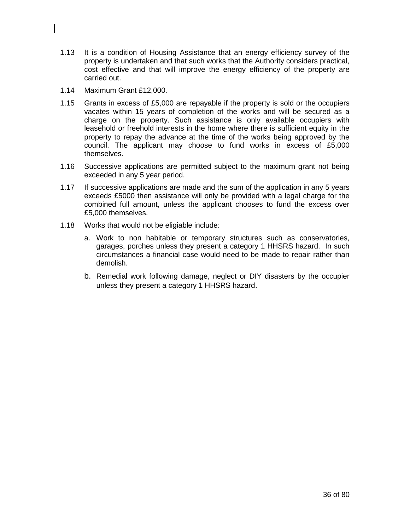- 1.13 It is a condition of Housing Assistance that an energy efficiency survey of the property is undertaken and that such works that the Authority considers practical, cost effective and that will improve the energy efficiency of the property are carried out.
- 1.14 Maximum Grant £12,000.
- 1.15 Grants in excess of £5,000 are repayable if the property is sold or the occupiers vacates within 15 years of completion of the works and will be secured as a charge on the property. Such assistance is only available occupiers with leasehold or freehold interests in the home where there is sufficient equity in the property to repay the advance at the time of the works being approved by the council. The applicant may choose to fund works in excess of £5,000 themselves.
- 1.16 Successive applications are permitted subject to the maximum grant not being exceeded in any 5 year period.
- 1.17 If successive applications are made and the sum of the application in any 5 years exceeds £5000 then assistance will only be provided with a legal charge for the combined full amount, unless the applicant chooses to fund the excess over £5,000 themselves.
- 1.18 Works that would not be eligiable include:
	- a. Work to non habitable or temporary structures such as conservatories, garages, porches unless they present a category 1 HHSRS hazard. In such circumstances a financial case would need to be made to repair rather than demolish.
	- b. Remedial work following damage, neglect or DIY disasters by the occupier unless they present a category 1 HHSRS hazard.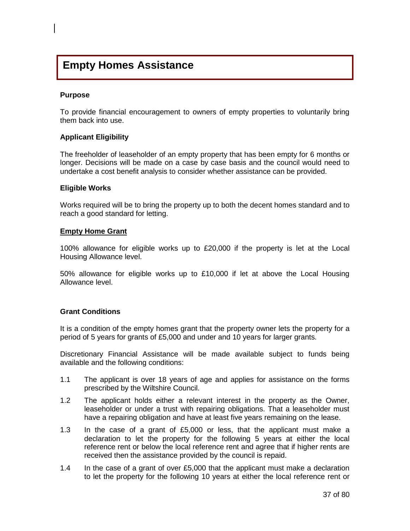## **Empty Homes Assistance**

#### **Purpose**

To provide financial encouragement to owners of empty properties to voluntarily bring them back into use.

#### **Applicant Eligibility**

The freeholder of leaseholder of an empty property that has been empty for 6 months or longer. Decisions will be made on a case by case basis and the council would need to undertake a cost benefit analysis to consider whether assistance can be provided.

#### **Eligible Works**

Works required will be to bring the property up to both the decent homes standard and to reach a good standard for letting.

#### **Empty Home Grant**

100% allowance for eligible works up to £20,000 if the property is let at the Local Housing Allowance level.

50% allowance for eligible works up to £10,000 if let at above the Local Housing Allowance level.

#### **Grant Conditions**

It is a condition of the empty homes grant that the property owner lets the property for a period of 5 years for grants of £5,000 and under and 10 years for larger grants.

Discretionary Financial Assistance will be made available subject to funds being available and the following conditions:

- 1.1 The applicant is over 18 years of age and applies for assistance on the forms prescribed by the Wiltshire Council.
- 1.2 The applicant holds either a relevant interest in the property as the Owner, leaseholder or under a trust with repairing obligations. That a leaseholder must have a repairing obligation and have at least five years remaining on the lease.
- 1.3 In the case of a grant of £5,000 or less, that the applicant must make a declaration to let the property for the following 5 years at either the local reference rent or below the local reference rent and agree that if higher rents are received then the assistance provided by the council is repaid.
- 1.4 In the case of a grant of over £5,000 that the applicant must make a declaration to let the property for the following 10 years at either the local reference rent or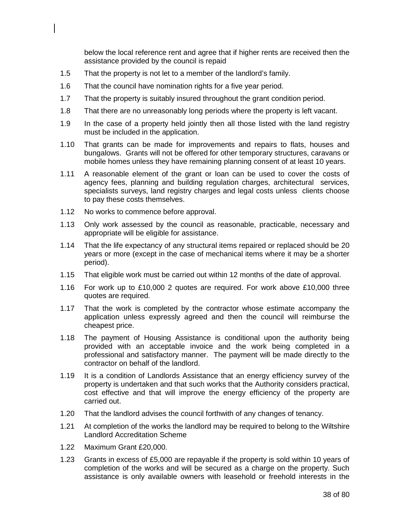below the local reference rent and agree that if higher rents are received then the assistance provided by the council is repaid

- 1.5 That the property is not let to a member of the landlord's family.
- 1.6 That the council have nomination rights for a five year period.
- 1.7 That the property is suitably insured throughout the grant condition period.
- 1.8 That there are no unreasonably long periods where the property is left vacant.
- 1.9 In the case of a property held jointly then all those listed with the land registry must be included in the application.
- 1.10 That grants can be made for improvements and repairs to flats, houses and bungalows. Grants will not be offered for other temporary structures, caravans or mobile homes unless they have remaining planning consent of at least 10 years.
- 1.11 A reasonable element of the grant or loan can be used to cover the costs of agency fees, planning and building regulation charges, architectural services, specialists surveys, land registry charges and legal costs unless clients choose to pay these costs themselves.
- 1.12 No works to commence before approval.
- 1.13 Only work assessed by the council as reasonable, practicable, necessary and appropriate will be eligible for assistance.
- 1.14 That the life expectancy of any structural items repaired or replaced should be 20 years or more (except in the case of mechanical items where it may be a shorter period).
- 1.15 That eligible work must be carried out within 12 months of the date of approval.
- 1.16 For work up to £10,000 2 quotes are required. For work above £10,000 three quotes are required.
- 1.17 That the work is completed by the contractor whose estimate accompany the application unless expressly agreed and then the council will reimburse the cheapest price.
- 1.18 The payment of Housing Assistance is conditional upon the authority being provided with an acceptable invoice and the work being completed in a professional and satisfactory manner. The payment will be made directly to the contractor on behalf of the landlord.
- 1.19 It is a condition of Landlords Assistance that an energy efficiency survey of the property is undertaken and that such works that the Authority considers practical, cost effective and that will improve the energy efficiency of the property are carried out.
- 1.20 That the landlord advises the council forthwith of any changes of tenancy.
- 1.21 At completion of the works the landlord may be required to belong to the Wiltshire Landlord Accreditation Scheme
- 1.22 Maximum Grant £20,000.
- 1.23 Grants in excess of £5,000 are repayable if the property is sold within 10 years of completion of the works and will be secured as a charge on the property. Such assistance is only available owners with leasehold or freehold interests in the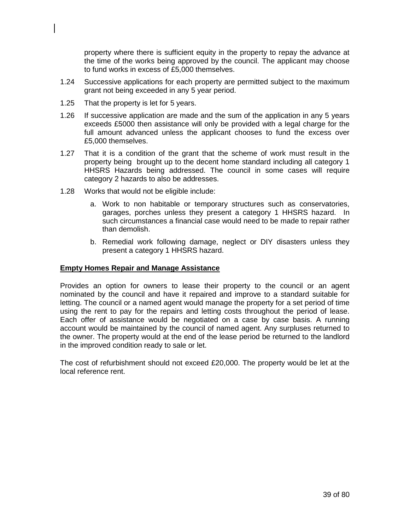property where there is sufficient equity in the property to repay the advance at the time of the works being approved by the council. The applicant may choose to fund works in excess of £5,000 themselves.

- 1.24 Successive applications for each property are permitted subject to the maximum grant not being exceeded in any 5 year period.
- 1.25 That the property is let for 5 years.
- 1.26 If successive application are made and the sum of the application in any 5 years exceeds £5000 then assistance will only be provided with a legal charge for the full amount advanced unless the applicant chooses to fund the excess over £5,000 themselves.
- 1.27 That it is a condition of the grant that the scheme of work must result in the property being brought up to the decent home standard including all category 1 HHSRS Hazards being addressed. The council in some cases will require category 2 hazards to also be addresses.
- 1.28 Works that would not be eligible include:
	- a. Work to non habitable or temporary structures such as conservatories, garages, porches unless they present a category 1 HHSRS hazard. In such circumstances a financial case would need to be made to repair rather than demolish.
	- b. Remedial work following damage, neglect or DIY disasters unless they present a category 1 HHSRS hazard.

#### **Empty Homes Repair and Manage Assistance**

Provides an option for owners to lease their property to the council or an agent nominated by the council and have it repaired and improve to a standard suitable for letting. The council or a named agent would manage the property for a set period of time using the rent to pay for the repairs and letting costs throughout the period of lease. Each offer of assistance would be negotiated on a case by case basis. A running account would be maintained by the council of named agent. Any surpluses returned to the owner. The property would at the end of the lease period be returned to the landlord in the improved condition ready to sale or let.

The cost of refurbishment should not exceed £20,000. The property would be let at the local reference rent.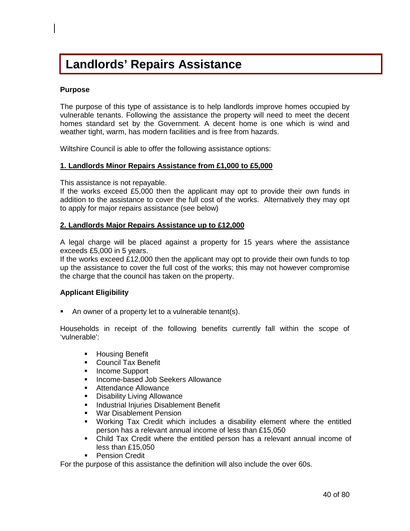# **Landlords' Repairs Assistance**

#### **Purpose**

The purpose of this type of assistance is to help landlords improve homes occupied by vulnerable tenants. Following the assistance the property will need to meet the decent homes standard set by the Government. A decent home is one which is wind and weather tight, warm, has modern facilities and is free from hazards.

Wiltshire Council is able to offer the following assistance options:

#### **1. Landlords Minor Repairs Assistance from £1,000 to £5,000**

This assistance is not repayable.

If the works exceed £5,000 then the applicant may opt to provide their own funds in addition to the assistance to cover the full cost of the works. Alternatively they may opt to apply for major repairs assistance (see below)

#### **2. Landlords Major Repairs Assistance up to £12,000**

A legal charge will be placed against a property for 15 years where the assistance exceeds £5,000 in 5 years.

If the works exceed £12,000 then the applicant may opt to provide their own funds to top up the assistance to cover the full cost of the works; this may not however compromise the charge that the council has taken on the property.

#### **Applicant Eligibility**

• An owner of a property let to a vulnerable tenant(s).

Households in receipt of the following benefits currently fall within the scope of 'vulnerable':

- **-** Housing Benefit
- **Council Tax Benefit**
- **Income Support**
- **Income-based Job Seekers Allowance**
- **Attendance Allowance**<br>**•** Disability Living Allowa
- Disability Living Allowance
- **Industrial Injuries Disablement Benefit**
- **War Disablement Pension**
- Working Tax Credit which includes a disability element where the entitled person has a relevant annual income of less than £15,050
- Child Tax Credit where the entitled person has a relevant annual income of less than £15,050
- **Pension Credit**

For the purpose of this assistance the definition will also include the over 60s.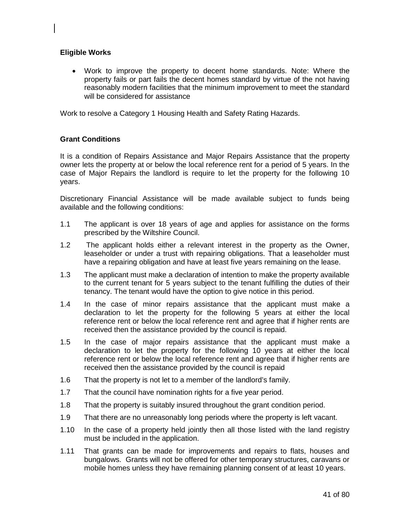#### **Eligible Works**

• Work to improve the property to decent home standards. Note: Where the property fails or part fails the decent homes standard by virtue of the not having reasonably modern facilities that the minimum improvement to meet the standard will be considered for assistance

Work to resolve a Category 1 Housing Health and Safety Rating Hazards.

#### **Grant Conditions**

It is a condition of Repairs Assistance and Major Repairs Assistance that the property owner lets the property at or below the local reference rent for a period of 5 years. In the case of Major Repairs the landlord is require to let the property for the following 10 years.

Discretionary Financial Assistance will be made available subject to funds being available and the following conditions:

- 1.1 The applicant is over 18 years of age and applies for assistance on the forms prescribed by the Wiltshire Council.
- 1.2 The applicant holds either a relevant interest in the property as the Owner, leaseholder or under a trust with repairing obligations. That a leaseholder must have a repairing obligation and have at least five years remaining on the lease.
- 1.3 The applicant must make a declaration of intention to make the property available to the current tenant for 5 years subject to the tenant fulfilling the duties of their tenancy. The tenant would have the option to give notice in this period.
- 1.4 In the case of minor repairs assistance that the applicant must make a declaration to let the property for the following 5 years at either the local reference rent or below the local reference rent and agree that if higher rents are received then the assistance provided by the council is repaid.
- 1.5 In the case of major repairs assistance that the applicant must make a declaration to let the property for the following 10 years at either the local reference rent or below the local reference rent and agree that if higher rents are received then the assistance provided by the council is repaid
- 1.6 That the property is not let to a member of the landlord's family.
- 1.7 That the council have nomination rights for a five year period.
- 1.8 That the property is suitably insured throughout the grant condition period.
- 1.9 That there are no unreasonably long periods where the property is left vacant.
- 1.10 In the case of a property held jointly then all those listed with the land registry must be included in the application.
- 1.11 That grants can be made for improvements and repairs to flats, houses and bungalows. Grants will not be offered for other temporary structures, caravans or mobile homes unless they have remaining planning consent of at least 10 years.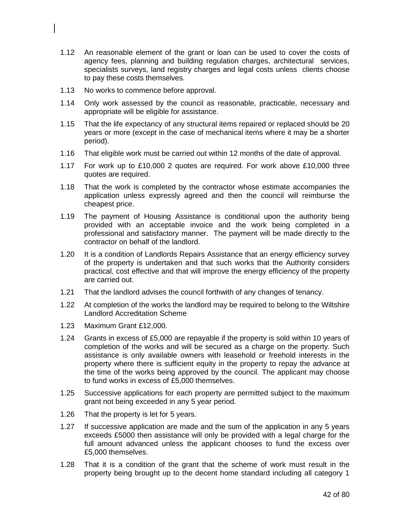- 1.12 An reasonable element of the grant or loan can be used to cover the costs of agency fees, planning and building regulation charges, architectural services, specialists surveys, land registry charges and legal costs unless clients choose to pay these costs themselves.
- 1.13 No works to commence before approval.
- 1.14 Only work assessed by the council as reasonable, practicable, necessary and appropriate will be eligible for assistance.
- 1.15 That the life expectancy of any structural items repaired or replaced should be 20 years or more (except in the case of mechanical items where it may be a shorter period).
- 1.16 That eligible work must be carried out within 12 months of the date of approval.
- 1.17 For work up to £10,000 2 quotes are required. For work above £10,000 three quotes are required.
- 1.18 That the work is completed by the contractor whose estimate accompanies the application unless expressly agreed and then the council will reimburse the cheapest price.
- 1.19 The payment of Housing Assistance is conditional upon the authority being provided with an acceptable invoice and the work being completed in a professional and satisfactory manner. The payment will be made directly to the contractor on behalf of the landlord.
- 1.20 It is a condition of Landlords Repairs Assistance that an energy efficiency survey of the property is undertaken and that such works that the Authority considers practical, cost effective and that will improve the energy efficiency of the property are carried out.
- 1.21 That the landlord advises the council forthwith of any changes of tenancy.
- 1.22 At completion of the works the landlord may be required to belong to the Wiltshire Landlord Accreditation Scheme
- 1.23 Maximum Grant £12,000.
- 1.24 Grants in excess of £5,000 are repayable if the property is sold within 10 years of completion of the works and will be secured as a charge on the property. Such assistance is only available owners with leasehold or freehold interests in the property where there is sufficient equity in the property to repay the advance at the time of the works being approved by the council. The applicant may choose to fund works in excess of £5,000 themselves.
- 1.25 Successive applications for each property are permitted subject to the maximum grant not being exceeded in any 5 year period.
- 1.26 That the property is let for 5 years.
- 1.27 If successive application are made and the sum of the application in any 5 years exceeds £5000 then assistance will only be provided with a legal charge for the full amount advanced unless the applicant chooses to fund the excess over £5,000 themselves.
- 1.28 That it is a condition of the grant that the scheme of work must result in the property being brought up to the decent home standard including all category 1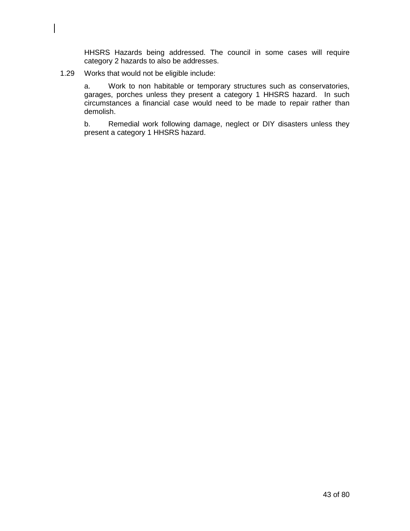HHSRS Hazards being addressed. The council in some cases will require category 2 hazards to also be addresses.

#### 1.29 Works that would not be eligible include:

a. Work to non habitable or temporary structures such as conservatories, garages, porches unless they present a category 1 HHSRS hazard. In such circumstances a financial case would need to be made to repair rather than demolish.

b. Remedial work following damage, neglect or DIY disasters unless they present a category 1 HHSRS hazard.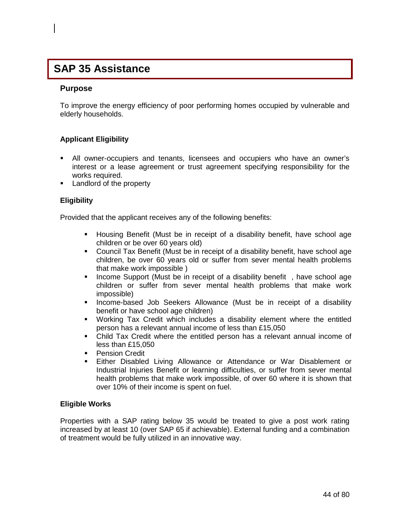# **Purpose SAP 35 Assistance**

#### **Purpose**

To improve the energy efficiency of poor performing homes occupied by vulnerable and elderly households.

#### **Applicant Eligibility**

- All owner-occupiers and tenants, licensees and occupiers who have an owner's interest or a lease agreement or trust agreement specifying responsibility for the works required.
- **Landlord of the property**

#### **Eligibility**

Provided that the applicant receives any of the following benefits:

- Housing Benefit (Must be in receipt of a disability benefit, have school age children or be over 60 years old)
- Council Tax Benefit (Must be in receipt of a disability benefit, have school age children, be over 60 years old or suffer from sever mental health problems that make work impossible )
- **Income Support (Must be in receipt of a disability benefit**, have school age children or suffer from sever mental health problems that make work impossible)
- **Income-based Job Seekers Allowance (Must be in receipt of a disability** benefit or have school age children)
- Working Tax Credit which includes a disability element where the entitled person has a relevant annual income of less than £15,050
- Child Tax Credit where the entitled person has a relevant annual income of less than £15,050
- **Pension Credit**
- Either Disabled Living Allowance or Attendance or War Disablement or Industrial Injuries Benefit or learning difficulties, or suffer from sever mental health problems that make work impossible, of over 60 where it is shown that over 10% of their income is spent on fuel.

#### **Eligible Works**

Properties with a SAP rating below 35 would be treated to give a post work rating increased by at least 10 (over SAP 65 if achievable). External funding and a combination of treatment would be fully utilized in an innovative way.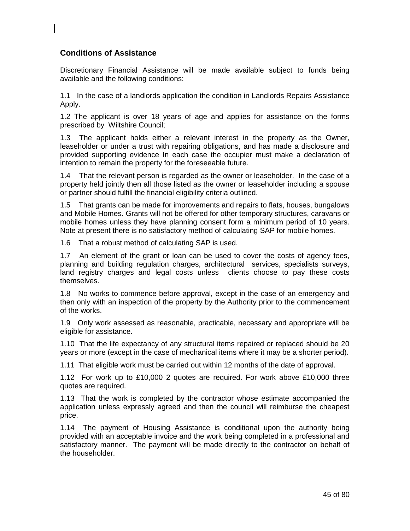## **Conditions of Assistance**

Discretionary Financial Assistance will be made available subject to funds being available and the following conditions:

1.1 In the case of a landlords application the condition in Landlords Repairs Assistance Apply.

1.2 The applicant is over 18 years of age and applies for assistance on the forms prescribed by Wiltshire Council;

1.3 The applicant holds either a relevant interest in the property as the Owner, leaseholder or under a trust with repairing obligations, and has made a disclosure and provided supporting evidence In each case the occupier must make a declaration of intention to remain the property for the foreseeable future.

1.4 That the relevant person is regarded as the owner or leaseholder. In the case of a property held jointly then all those listed as the owner or leaseholder including a spouse or partner should fulfill the financial eligibility criteria outlined.

1.5 That grants can be made for improvements and repairs to flats, houses, bungalows and Mobile Homes. Grants will not be offered for other temporary structures, caravans or mobile homes unless they have planning consent form a minimum period of 10 years. Note at present there is no satisfactory method of calculating SAP for mobile homes.

1.6 That a robust method of calculating SAP is used.

1.7 An element of the grant or loan can be used to cover the costs of agency fees, planning and building regulation charges, architectural services, specialists surveys, land registry charges and legal costs unless clients choose to pay these costs themselves.

1.8 No works to commence before approval, except in the case of an emergency and then only with an inspection of the property by the Authority prior to the commencement of the works.

1.9 Only work assessed as reasonable, practicable, necessary and appropriate will be eligible for assistance.

1.10 That the life expectancy of any structural items repaired or replaced should be 20 years or more (except in the case of mechanical items where it may be a shorter period).

1.11 That eligible work must be carried out within 12 months of the date of approval.

1.12 For work up to £10,000 2 quotes are required. For work above £10,000 three quotes are required.

1.13 That the work is completed by the contractor whose estimate accompanied the application unless expressly agreed and then the council will reimburse the cheapest price.

1.14 The payment of Housing Assistance is conditional upon the authority being provided with an acceptable invoice and the work being completed in a professional and satisfactory manner. The payment will be made directly to the contractor on behalf of the householder.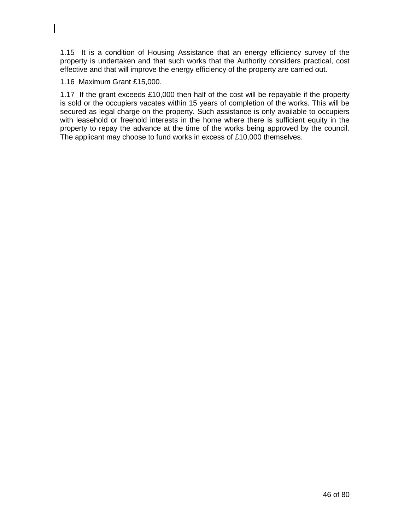1.15 It is a condition of Housing Assistance that an energy efficiency survey of the property is undertaken and that such works that the Authority considers practical, cost effective and that will improve the energy efficiency of the property are carried out.

1.16 Maximum Grant £15,000.

1.17 If the grant exceeds £10,000 then half of the cost will be repayable if the property is sold or the occupiers vacates within 15 years of completion of the works. This will be secured as legal charge on the property. Such assistance is only available to occupiers with leasehold or freehold interests in the home where there is sufficient equity in the property to repay the advance at the time of the works being approved by the council. The applicant may choose to fund works in excess of £10,000 themselves.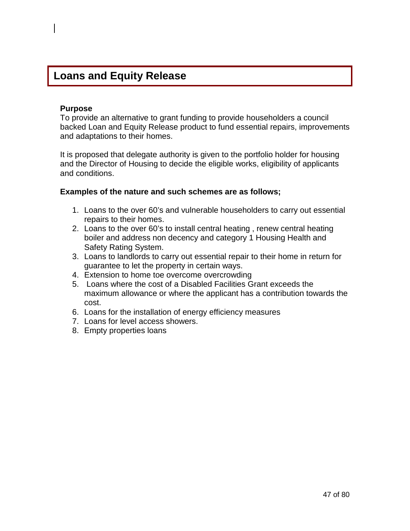## **Loans and Equity Release**

#### **Purpose**

To provide an alternative to grant funding to provide householders a council backed Loan and Equity Release product to fund essential repairs, improvements and adaptations to their homes.

It is proposed that delegate authority is given to the portfolio holder for housing and the Director of Housing to decide the eligible works, eligibility of applicants and conditions.

#### **Examples of the nature and such schemes are as follows;**

- 1. Loans to the over 60's and vulnerable householders to carry out essential repairs to their homes.
- 2. Loans to the over 60's to install central heating , renew central heating boiler and address non decency and category 1 Housing Health and Safety Rating System.
- 3. Loans to landlords to carry out essential repair to their home in return for guarantee to let the property in certain ways.
- 4. Extension to home toe overcome overcrowding
- 5. Loans where the cost of a Disabled Facilities Grant exceeds the maximum allowance or where the applicant has a contribution towards the cost.
- 6. Loans for the installation of energy efficiency measures
- 7. Loans for level access showers.
- 8. Empty properties loans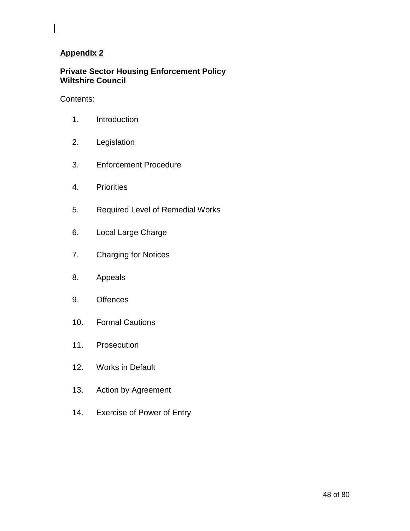## **Private Sector Housing Enforcement Policy Wiltshire Council**

### Contents:

- 1. Introduction
- 2. Legislation
- 3. Enforcement Procedure
- 4. Priorities
- 5. Required Level of Remedial Works
- 6. Local Large Charge
- 7. Charging for Notices
- 8. Appeals
- 9. Offences
- 10. Formal Cautions
- 11. Prosecution
- 12. Works in Default
- 13. Action by Agreement
- 14. Exercise of Power of Entry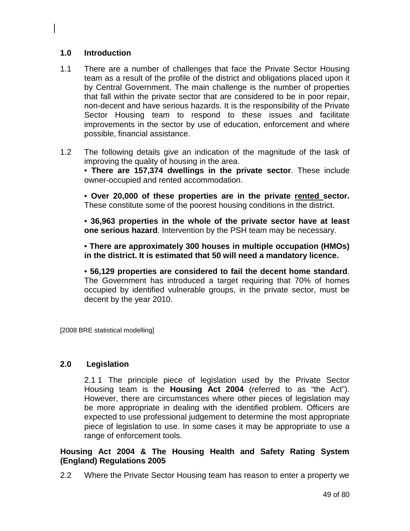## **1.0 Introduction**

- 1.1 There are a number of challenges that face the Private Sector Housing team as a result of the profile of the district and obligations placed upon it by Central Government. The main challenge is the number of properties that fall within the private sector that are considered to be in poor repair, non-decent and have serious hazards. It is the responsibility of the Private Sector Housing team to respond to these issues and facilitate improvements in the sector by use of education, enforcement and where possible, financial assistance.
- 1.2 The following details give an indication of the magnitude of the task of improving the quality of housing in the area.

• **There are 157,374 dwellings in the private sector**. These include owner-occupied and rented accommodation.

• **Over 20,000 of these properties are in the private rented sector.**  These constitute some of the poorest housing conditions in the district.

• **36,963 properties in the whole of the private sector have at least one serious hazard**. Intervention by the PSH team may be necessary.

• **There are approximately 300 houses in multiple occupation (HMOs) in the district. It is estimated that 50 will need a mandatory licence.** 

• **56,129 properties are considered to fail the decent home standard**. The Government has introduced a target requiring that 70% of homes occupied by identified vulnerable groups, in the private sector, must be decent by the year 2010.

[2008 BRE statistical modelling]

## **2.0 Legislation**

2.1 1 The principle piece of legislation used by the Private Sector Housing team is the **Housing Act 2004** (referred to as "the Act"). However, there are circumstances where other pieces of legislation may be more appropriate in dealing with the identified problem. Officers are expected to use professional judgement to determine the most appropriate piece of legislation to use. In some cases it may be appropriate to use a range of enforcement tools.

**Housing Act 2004 & The Housing Health and Safety Rating System (England) Regulations 2005** 

2.2 Where the Private Sector Housing team has reason to enter a property we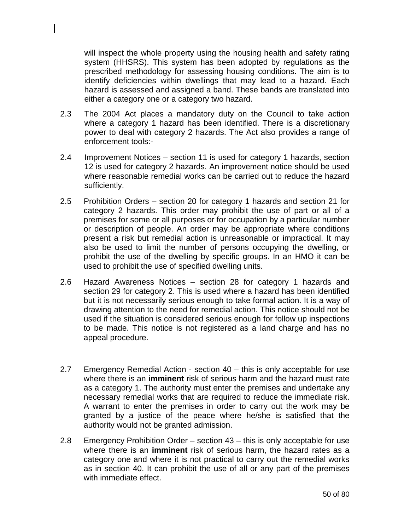will inspect the whole property using the housing health and safety rating system (HHSRS). This system has been adopted by regulations as the prescribed methodology for assessing housing conditions. The aim is to identify deficiencies within dwellings that may lead to a hazard. Each hazard is assessed and assigned a band. These bands are translated into either a category one or a category two hazard.

- 2.3 The 2004 Act places a mandatory duty on the Council to take action where a category 1 hazard has been identified. There is a discretionary power to deal with category 2 hazards. The Act also provides a range of enforcement tools:-
- 2.4 Improvement Notices section 11 is used for category 1 hazards, section 12 is used for category 2 hazards. An improvement notice should be used where reasonable remedial works can be carried out to reduce the hazard sufficiently.
- 2.5 Prohibition Orders section 20 for category 1 hazards and section 21 for category 2 hazards. This order may prohibit the use of part or all of a premises for some or all purposes or for occupation by a particular number or description of people. An order may be appropriate where conditions present a risk but remedial action is unreasonable or impractical. It may also be used to limit the number of persons occupying the dwelling, or prohibit the use of the dwelling by specific groups. In an HMO it can be used to prohibit the use of specified dwelling units.
- 2.6 Hazard Awareness Notices section 28 for category 1 hazards and section 29 for category 2. This is used where a hazard has been identified but it is not necessarily serious enough to take formal action. It is a way of drawing attention to the need for remedial action. This notice should not be used if the situation is considered serious enough for follow up inspections to be made. This notice is not registered as a land charge and has no appeal procedure.
- 2.7 Emergency Remedial Action section 40 this is only acceptable for use where there is an **imminent** risk of serious harm and the hazard must rate as a category 1. The authority must enter the premises and undertake any necessary remedial works that are required to reduce the immediate risk. A warrant to enter the premises in order to carry out the work may be granted by a justice of the peace where he/she is satisfied that the authority would not be granted admission.
- 2.8 Emergency Prohibition Order section 43 this is only acceptable for use where there is an **imminent** risk of serious harm, the hazard rates as a category one and where it is not practical to carry out the remedial works as in section 40. It can prohibit the use of all or any part of the premises with immediate effect.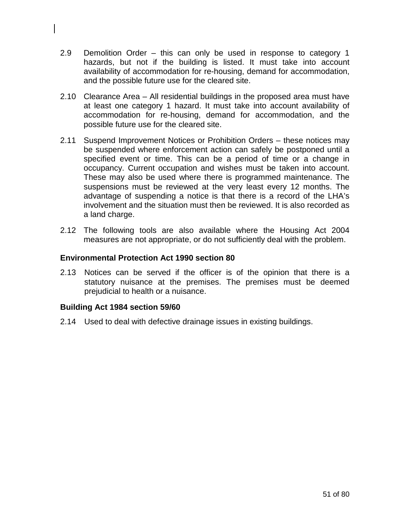- 2.9 Demolition Order this can only be used in response to category 1 hazards, but not if the building is listed. It must take into account availability of accommodation for re-housing, demand for accommodation, and the possible future use for the cleared site.
- 2.10 Clearance Area All residential buildings in the proposed area must have at least one category 1 hazard. It must take into account availability of accommodation for re-housing, demand for accommodation, and the possible future use for the cleared site.
- 2.11 Suspend Improvement Notices or Prohibition Orders these notices may be suspended where enforcement action can safely be postponed until a specified event or time. This can be a period of time or a change in occupancy. Current occupation and wishes must be taken into account. These may also be used where there is programmed maintenance. The suspensions must be reviewed at the very least every 12 months. The advantage of suspending a notice is that there is a record of the LHA's involvement and the situation must then be reviewed. It is also recorded as a land charge.
- 2.12 The following tools are also available where the Housing Act 2004 measures are not appropriate, or do not sufficiently deal with the problem.

### **Environmental Protection Act 1990 section 80**

2.13 Notices can be served if the officer is of the opinion that there is a statutory nuisance at the premises. The premises must be deemed prejudicial to health or a nuisance.

### **Building Act 1984 section 59/60**

2.14 Used to deal with defective drainage issues in existing buildings.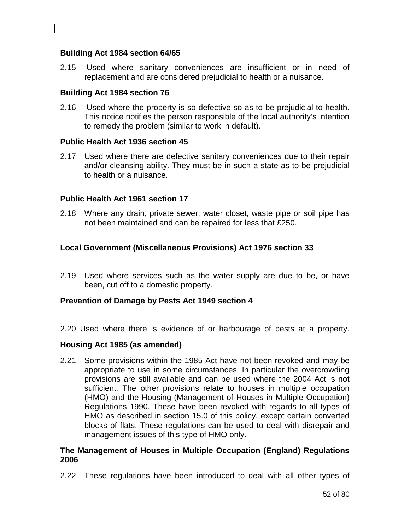#### **Building Act 1984 section 64/65**

2.15 Used where sanitary conveniences are insufficient or in need of replacement and are considered prejudicial to health or a nuisance.

#### **Building Act 1984 section 76**

2.16 Used where the property is so defective so as to be prejudicial to health. This notice notifies the person responsible of the local authority's intention to remedy the problem (similar to work in default).

#### **Public Health Act 1936 section 45**

2.17 Used where there are defective sanitary conveniences due to their repair and/or cleansing ability. They must be in such a state as to be prejudicial to health or a nuisance.

#### **Public Health Act 1961 section 17**

2.18 Where any drain, private sewer, water closet, waste pipe or soil pipe has not been maintained and can be repaired for less that £250.

#### **Local Government (Miscellaneous Provisions) Act 1976 section 33**

2.19 Used where services such as the water supply are due to be, or have been, cut off to a domestic property.

#### **Prevention of Damage by Pests Act 1949 section 4**

2.20 Used where there is evidence of or harbourage of pests at a property.

#### **Housing Act 1985 (as amended)**

2.21 Some provisions within the 1985 Act have not been revoked and may be appropriate to use in some circumstances. In particular the overcrowding provisions are still available and can be used where the 2004 Act is not sufficient. The other provisions relate to houses in multiple occupation (HMO) and the Housing (Management of Houses in Multiple Occupation) Regulations 1990. These have been revoked with regards to all types of HMO as described in section 15.0 of this policy, except certain converted blocks of flats. These regulations can be used to deal with disrepair and management issues of this type of HMO only.

#### **The Management of Houses in Multiple Occupation (England) Regulations 2006**

2.22 These regulations have been introduced to deal with all other types of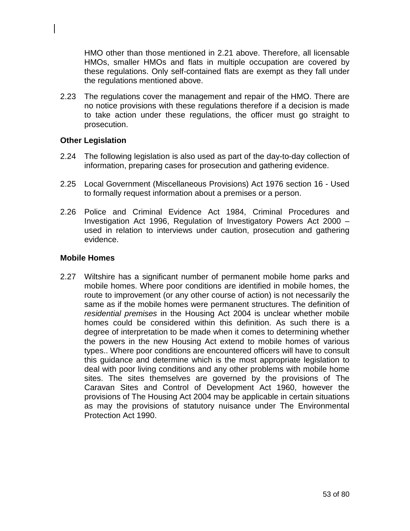HMO other than those mentioned in 2.21 above. Therefore, all licensable HMOs, smaller HMOs and flats in multiple occupation are covered by these regulations. Only self-contained flats are exempt as they fall under the regulations mentioned above.

2.23 The regulations cover the management and repair of the HMO. There are no notice provisions with these regulations therefore if a decision is made to take action under these regulations, the officer must go straight to prosecution.

### **Other Legislation**

- 2.24 The following legislation is also used as part of the day-to-day collection of information, preparing cases for prosecution and gathering evidence.
- 2.25 Local Government (Miscellaneous Provisions) Act 1976 section 16 Used to formally request information about a premises or a person.
- 2.26 Police and Criminal Evidence Act 1984, Criminal Procedures and Investigation Act 1996, Regulation of Investigatory Powers Act 2000 – used in relation to interviews under caution, prosecution and gathering evidence.

### **Mobile Homes**

2.27 Wiltshire has a significant number of permanent mobile home parks and mobile homes. Where poor conditions are identified in mobile homes, the route to improvement (or any other course of action) is not necessarily the same as if the mobile homes were permanent structures. The definition of *residential premises* in the Housing Act 2004 is unclear whether mobile homes could be considered within this definition. As such there is a degree of interpretation to be made when it comes to determining whether the powers in the new Housing Act extend to mobile homes of various types.. Where poor conditions are encountered officers will have to consult this guidance and determine which is the most appropriate legislation to deal with poor living conditions and any other problems with mobile home sites. The sites themselves are governed by the provisions of The Caravan Sites and Control of Development Act 1960, however the provisions of The Housing Act 2004 may be applicable in certain situations as may the provisions of statutory nuisance under The Environmental Protection Act 1990.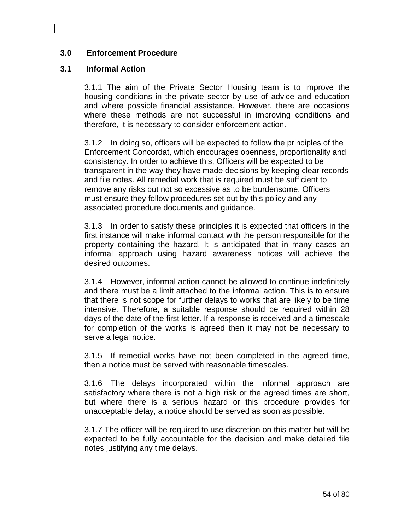## **3.0 Enforcement Procedure**

### **3.1 Informal Action**

3.1.1 The aim of the Private Sector Housing team is to improve the housing conditions in the private sector by use of advice and education and where possible financial assistance. However, there are occasions where these methods are not successful in improving conditions and therefore, it is necessary to consider enforcement action.

3.1.2 In doing so, officers will be expected to follow the principles of the Enforcement Concordat, which encourages openness, proportionality and consistency. In order to achieve this, Officers will be expected to be transparent in the way they have made decisions by keeping clear records and file notes. All remedial work that is required must be sufficient to remove any risks but not so excessive as to be burdensome. Officers must ensure they follow procedures set out by this policy and any associated procedure documents and guidance.

3.1.3 In order to satisfy these principles it is expected that officers in the first instance will make informal contact with the person responsible for the property containing the hazard. It is anticipated that in many cases an informal approach using hazard awareness notices will achieve the desired outcomes.

3.1.4 However, informal action cannot be allowed to continue indefinitely and there must be a limit attached to the informal action. This is to ensure that there is not scope for further delays to works that are likely to be time intensive. Therefore, a suitable response should be required within 28 days of the date of the first letter. If a response is received and a timescale for completion of the works is agreed then it may not be necessary to serve a legal notice.

3.1.5 If remedial works have not been completed in the agreed time, then a notice must be served with reasonable timescales.

3.1.6 The delays incorporated within the informal approach are satisfactory where there is not a high risk or the agreed times are short, but where there is a serious hazard or this procedure provides for unacceptable delay, a notice should be served as soon as possible.

3.1.7 The officer will be required to use discretion on this matter but will be expected to be fully accountable for the decision and make detailed file notes justifying any time delays.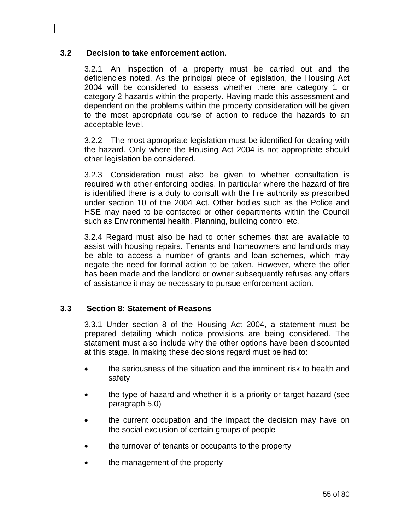## **3.2 Decision to take enforcement action.**

3.2.1 An inspection of a property must be carried out and the deficiencies noted. As the principal piece of legislation, the Housing Act 2004 will be considered to assess whether there are category 1 or category 2 hazards within the property. Having made this assessment and dependent on the problems within the property consideration will be given to the most appropriate course of action to reduce the hazards to an acceptable level.

3.2.2 The most appropriate legislation must be identified for dealing with the hazard. Only where the Housing Act 2004 is not appropriate should other legislation be considered.

3.2.3 Consideration must also be given to whether consultation is required with other enforcing bodies. In particular where the hazard of fire is identified there is a duty to consult with the fire authority as prescribed under section 10 of the 2004 Act. Other bodies such as the Police and HSE may need to be contacted or other departments within the Council such as Environmental health, Planning, building control etc.

3.2.4 Regard must also be had to other schemes that are available to assist with housing repairs. Tenants and homeowners and landlords may be able to access a number of grants and loan schemes, which may negate the need for formal action to be taken. However, where the offer has been made and the landlord or owner subsequently refuses any offers of assistance it may be necessary to pursue enforcement action.

### **3.3 Section 8: Statement of Reasons**

3.3.1 Under section 8 of the Housing Act 2004, a statement must be prepared detailing which notice provisions are being considered. The statement must also include why the other options have been discounted at this stage. In making these decisions regard must be had to:

- the seriousness of the situation and the imminent risk to health and safety
- the type of hazard and whether it is a priority or target hazard (see paragraph 5.0)
- the current occupation and the impact the decision may have on the social exclusion of certain groups of people
- the turnover of tenants or occupants to the property
- the management of the property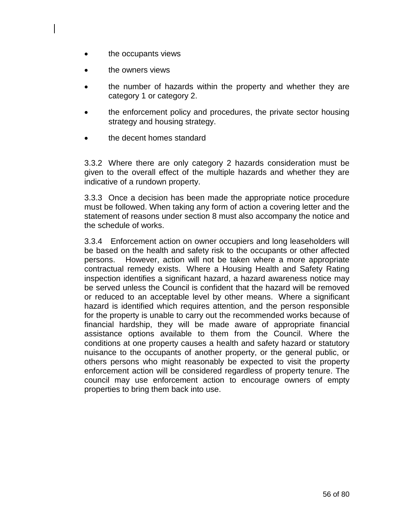- the occupants views
- the owners views
- the number of hazards within the property and whether they are category 1 or category 2.
- the enforcement policy and procedures, the private sector housing strategy and housing strategy.
- the decent homes standard

3.3.2 Where there are only category 2 hazards consideration must be given to the overall effect of the multiple hazards and whether they are indicative of a rundown property.

3.3.3 Once a decision has been made the appropriate notice procedure must be followed. When taking any form of action a covering letter and the statement of reasons under section 8 must also accompany the notice and the schedule of works.

3.3.4 Enforcement action on owner occupiers and long leaseholders will be based on the health and safety risk to the occupants or other affected persons. However, action will not be taken where a more appropriate contractual remedy exists. Where a Housing Health and Safety Rating inspection identifies a significant hazard, a hazard awareness notice may be served unless the Council is confident that the hazard will be removed or reduced to an acceptable level by other means. Where a significant hazard is identified which requires attention, and the person responsible for the property is unable to carry out the recommended works because of financial hardship, they will be made aware of appropriate financial assistance options available to them from the Council. Where the conditions at one property causes a health and safety hazard or statutory nuisance to the occupants of another property, or the general public, or others persons who might reasonably be expected to visit the property enforcement action will be considered regardless of property tenure. The council may use enforcement action to encourage owners of empty properties to bring them back into use.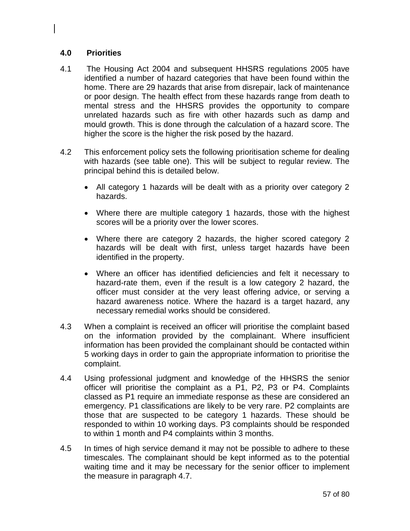## **4.0 Priorities**

- 4.1 The Housing Act 2004 and subsequent HHSRS regulations 2005 have identified a number of hazard categories that have been found within the home. There are 29 hazards that arise from disrepair, lack of maintenance or poor design. The health effect from these hazards range from death to mental stress and the HHSRS provides the opportunity to compare unrelated hazards such as fire with other hazards such as damp and mould growth. This is done through the calculation of a hazard score. The higher the score is the higher the risk posed by the hazard.
- 4.2 This enforcement policy sets the following prioritisation scheme for dealing with hazards (see table one). This will be subject to regular review. The principal behind this is detailed below.
	- All category 1 hazards will be dealt with as a priority over category 2 hazards.
	- Where there are multiple category 1 hazards, those with the highest scores will be a priority over the lower scores.
	- Where there are category 2 hazards, the higher scored category 2 hazards will be dealt with first, unless target hazards have been identified in the property.
	- Where an officer has identified deficiencies and felt it necessary to hazard-rate them, even if the result is a low category 2 hazard, the officer must consider at the very least offering advice, or serving a hazard awareness notice. Where the hazard is a target hazard, any necessary remedial works should be considered.
- 4.3 When a complaint is received an officer will prioritise the complaint based on the information provided by the complainant. Where insufficient information has been provided the complainant should be contacted within 5 working days in order to gain the appropriate information to prioritise the complaint.
- 4.4 Using professional judgment and knowledge of the HHSRS the senior officer will prioritise the complaint as a P1, P2, P3 or P4. Complaints classed as P1 require an immediate response as these are considered an emergency. P1 classifications are likely to be very rare. P2 complaints are those that are suspected to be category 1 hazards. These should be responded to within 10 working days. P3 complaints should be responded to within 1 month and P4 complaints within 3 months.
- 4.5 In times of high service demand it may not be possible to adhere to these timescales. The complainant should be kept informed as to the potential waiting time and it may be necessary for the senior officer to implement the measure in paragraph 4.7.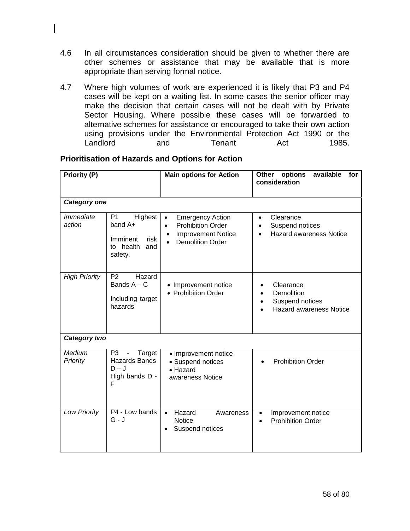- 4.6 In all circumstances consideration should be given to whether there are other schemes or assistance that may be available that is more appropriate than serving formal notice.
- 4.7 Where high volumes of work are experienced it is likely that P3 and P4 cases will be kept on a waiting list. In some cases the senior officer may make the decision that certain cases will not be dealt with by Private Sector Housing. Where possible these cases will be forwarded to alternative schemes for assistance or encouraged to take their own action using provisions under the Environmental Protection Act 1990 or the Landlord and Tenant Act 1985.

| <b>Priority (P)</b>               |                                                                                         | <b>Main options for Action</b>                                                                                                                     | options<br>available<br>Other<br>for<br>consideration                        |
|-----------------------------------|-----------------------------------------------------------------------------------------|----------------------------------------------------------------------------------------------------------------------------------------------------|------------------------------------------------------------------------------|
| <b>Category one</b>               |                                                                                         |                                                                                                                                                    |                                                                              |
| <i><b>Immediate</b></i><br>action | Highest<br>P <sub>1</sub><br>band A+<br>Imminent<br>risk<br>to health<br>and<br>safety. | $\bullet$<br><b>Emergency Action</b><br><b>Prohibition Order</b><br>$\bullet$<br><b>Improvement Notice</b><br>$\bullet$<br><b>Demolition Order</b> | Clearance<br>$\bullet$<br>Suspend notices<br><b>Hazard awareness Notice</b>  |
| <b>High Priority</b>              | P <sub>2</sub><br>Hazard<br>Bands $A - C$<br>Including target<br>hazards                | • Improvement notice<br>• Prohibition Order                                                                                                        | Clearance<br>Demolition<br>Suspend notices<br><b>Hazard awareness Notice</b> |
| Category two                      |                                                                                         |                                                                                                                                                    |                                                                              |
| Medium<br>Priority                | P <sub>3</sub><br>Target<br><b>Hazards Bands</b><br>$D - J$<br>High bands D -<br>F      | · Improvement notice<br>• Suspend notices<br>$\bullet$ Hazard<br>awareness Notice                                                                  | <b>Prohibition Order</b>                                                     |
| <b>Low Priority</b>               | P4 - Low bands<br>$G - J$                                                               | Hazard<br>Awareness<br>$\bullet$<br><b>Notice</b><br>Suspend notices<br>$\bullet$                                                                  | Improvement notice<br>$\bullet$<br><b>Prohibition Order</b>                  |

### **Prioritisation of Hazards and Options for Action**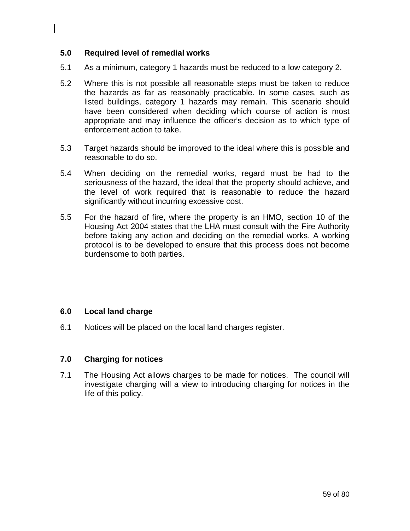### **5.0 Required level of remedial works**

- 5.1 As a minimum, category 1 hazards must be reduced to a low category 2.
- 5.2 Where this is not possible all reasonable steps must be taken to reduce the hazards as far as reasonably practicable. In some cases, such as listed buildings, category 1 hazards may remain. This scenario should have been considered when deciding which course of action is most appropriate and may influence the officer's decision as to which type of enforcement action to take.
- 5.3 Target hazards should be improved to the ideal where this is possible and reasonable to do so.
- 5.4 When deciding on the remedial works, regard must be had to the seriousness of the hazard, the ideal that the property should achieve, and the level of work required that is reasonable to reduce the hazard significantly without incurring excessive cost.
- 5.5 For the hazard of fire, where the property is an HMO, section 10 of the Housing Act 2004 states that the LHA must consult with the Fire Authority before taking any action and deciding on the remedial works. A working protocol is to be developed to ensure that this process does not become burdensome to both parties.

## **6.0 Local land charge**

6.1 Notices will be placed on the local land charges register.

### **7.0 Charging for notices**

7.1 The Housing Act allows charges to be made for notices. The council will investigate charging will a view to introducing charging for notices in the life of this policy.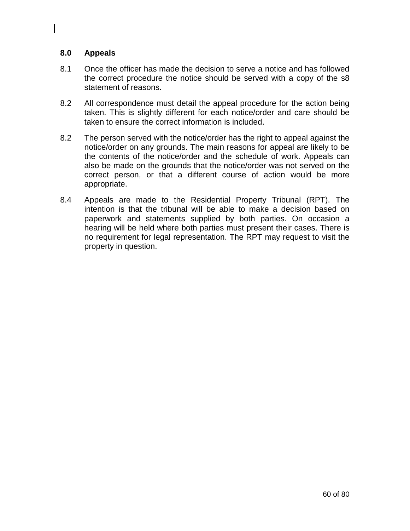## **8.0 Appeals**

- 8.1 Once the officer has made the decision to serve a notice and has followed the correct procedure the notice should be served with a copy of the s8 statement of reasons.
- 8.2 All correspondence must detail the appeal procedure for the action being taken. This is slightly different for each notice/order and care should be taken to ensure the correct information is included.
- 8.2 The person served with the notice/order has the right to appeal against the notice/order on any grounds. The main reasons for appeal are likely to be the contents of the notice/order and the schedule of work. Appeals can also be made on the grounds that the notice/order was not served on the correct person, or that a different course of action would be more appropriate.
- 8.4 Appeals are made to the Residential Property Tribunal (RPT). The intention is that the tribunal will be able to make a decision based on paperwork and statements supplied by both parties. On occasion a hearing will be held where both parties must present their cases. There is no requirement for legal representation. The RPT may request to visit the property in question.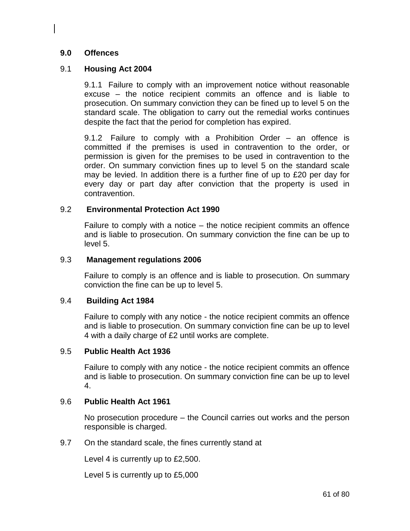## **9.0 Offences**

## 9.1 **Housing Act 2004**

9.1.1 Failure to comply with an improvement notice without reasonable excuse – the notice recipient commits an offence and is liable to prosecution. On summary conviction they can be fined up to level 5 on the standard scale. The obligation to carry out the remedial works continues despite the fact that the period for completion has expired.

9.1.2 Failure to comply with a Prohibition Order – an offence is committed if the premises is used in contravention to the order, or permission is given for the premises to be used in contravention to the order. On summary conviction fines up to level 5 on the standard scale may be levied. In addition there is a further fine of up to £20 per day for every day or part day after conviction that the property is used in contravention.

### 9.2 **Environmental Protection Act 1990**

Failure to comply with a notice – the notice recipient commits an offence and is liable to prosecution. On summary conviction the fine can be up to level 5.

#### 9.3 **Management regulations 2006**

Failure to comply is an offence and is liable to prosecution. On summary conviction the fine can be up to level 5.

#### 9.4 **Building Act 1984**

Failure to comply with any notice - the notice recipient commits an offence and is liable to prosecution. On summary conviction fine can be up to level 4 with a daily charge of £2 until works are complete.

### 9.5 **Public Health Act 1936**

Failure to comply with any notice - the notice recipient commits an offence and is liable to prosecution. On summary conviction fine can be up to level 4.

### 9.6 **Public Health Act 1961**

No prosecution procedure – the Council carries out works and the person responsible is charged.

9.7 On the standard scale, the fines currently stand at

Level 4 is currently up to £2,500.

Level 5 is currently up to £5,000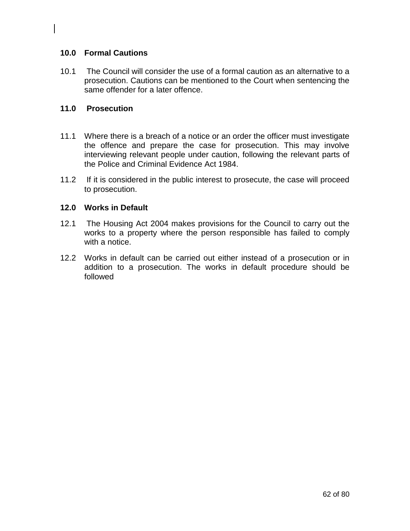## **10.0 Formal Cautions**

10.1 The Council will consider the use of a formal caution as an alternative to a prosecution. Cautions can be mentioned to the Court when sentencing the same offender for a later offence.

## **11.0 Prosecution**

- 11.1 Where there is a breach of a notice or an order the officer must investigate the offence and prepare the case for prosecution. This may involve interviewing relevant people under caution, following the relevant parts of the Police and Criminal Evidence Act 1984.
- 11.2 If it is considered in the public interest to prosecute, the case will proceed to prosecution.

### **12.0 Works in Default**

- 12.1 The Housing Act 2004 makes provisions for the Council to carry out the works to a property where the person responsible has failed to comply with a notice.
- 12.2 Works in default can be carried out either instead of a prosecution or in addition to a prosecution. The works in default procedure should be followed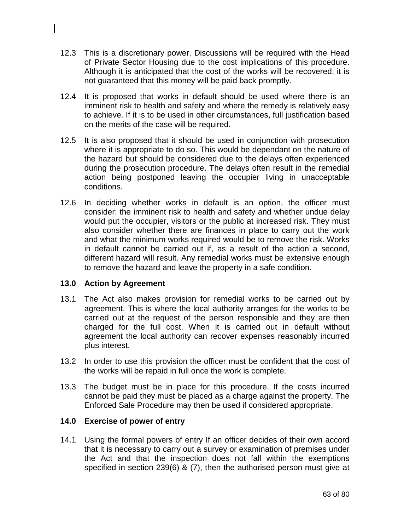- 12.3 This is a discretionary power. Discussions will be required with the Head of Private Sector Housing due to the cost implications of this procedure. Although it is anticipated that the cost of the works will be recovered, it is not guaranteed that this money will be paid back promptly.
- 12.4 It is proposed that works in default should be used where there is an imminent risk to health and safety and where the remedy is relatively easy to achieve. If it is to be used in other circumstances, full justification based on the merits of the case will be required.
- 12.5 It is also proposed that it should be used in conjunction with prosecution where it is appropriate to do so. This would be dependant on the nature of the hazard but should be considered due to the delays often experienced during the prosecution procedure. The delays often result in the remedial action being postponed leaving the occupier living in unacceptable conditions.
- 12.6 In deciding whether works in default is an option, the officer must consider: the imminent risk to health and safety and whether undue delay would put the occupier, visitors or the public at increased risk. They must also consider whether there are finances in place to carry out the work and what the minimum works required would be to remove the risk. Works in default cannot be carried out if, as a result of the action a second, different hazard will result. Any remedial works must be extensive enough to remove the hazard and leave the property in a safe condition.

### **13.0 Action by Agreement**

- 13.1 The Act also makes provision for remedial works to be carried out by agreement. This is where the local authority arranges for the works to be carried out at the request of the person responsible and they are then charged for the full cost. When it is carried out in default without agreement the local authority can recover expenses reasonably incurred plus interest.
- 13.2 In order to use this provision the officer must be confident that the cost of the works will be repaid in full once the work is complete.
- 13.3 The budget must be in place for this procedure. If the costs incurred cannot be paid they must be placed as a charge against the property. The Enforced Sale Procedure may then be used if considered appropriate.

### **14.0 Exercise of power of entry**

14.1 Using the formal powers of entry If an officer decides of their own accord that it is necessary to carry out a survey or examination of premises under the Act and that the inspection does not fall within the exemptions specified in section 239(6) & (7), then the authorised person must give at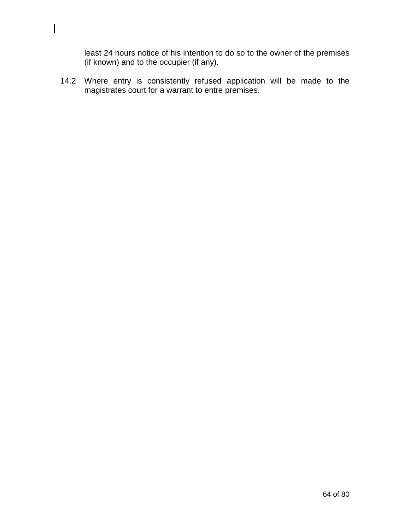least 24 hours notice of his intention to do so to the owner of the premises (if known) and to the occupier (if any).

14.2 Where entry is consistently refused application will be made to the magistrates court for a warrant to entre premises.

 $\overline{\phantom{a}}$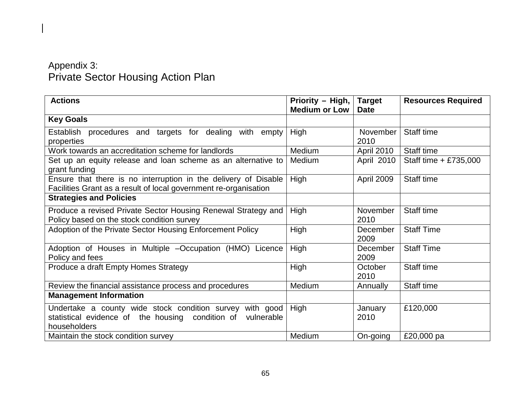## Appendix 3: Private Sector Housing Action Plan

| <b>Actions</b>                                                                                                                             | Priority - High,<br><b>Medium or Low</b> | <b>Target</b><br><b>Date</b> | <b>Resources Required</b> |
|--------------------------------------------------------------------------------------------------------------------------------------------|------------------------------------------|------------------------------|---------------------------|
| <b>Key Goals</b>                                                                                                                           |                                          |                              |                           |
| Establish procedures and targets for dealing with empty<br>properties                                                                      | High                                     | November<br>2010             | Staff time                |
| Work towards an accreditation scheme for landlords                                                                                         | Medium                                   | April 2010                   | Staff time                |
| Set up an equity release and loan scheme as an alternative to<br>grant funding                                                             | Medium                                   | April 2010                   | Staff time + £735,000     |
| Ensure that there is no interruption in the delivery of Disable<br>Facilities Grant as a result of local government re-organisation        | High                                     | April 2009                   | Staff time                |
| <b>Strategies and Policies</b>                                                                                                             |                                          |                              |                           |
| Produce a revised Private Sector Housing Renewal Strategy and<br>Policy based on the stock condition survey                                | High                                     | November<br>2010             | Staff time                |
| Adoption of the Private Sector Housing Enforcement Policy                                                                                  | High                                     | December<br>2009             | <b>Staff Time</b>         |
| Adoption of Houses in Multiple -Occupation (HMO) Licence<br>Policy and fees                                                                | High                                     | December<br>2009             | <b>Staff Time</b>         |
| Produce a draft Empty Homes Strategy                                                                                                       | High                                     | October<br>2010              | Staff time                |
| Review the financial assistance process and procedures                                                                                     | Medium                                   | Annually                     | Staff time                |
| <b>Management Information</b>                                                                                                              |                                          |                              |                           |
| Undertake a county wide stock condition survey with good<br>statistical evidence of the housing condition of<br>vulnerable<br>householders | High                                     | January<br>2010              | £120,000                  |
| Maintain the stock condition survey                                                                                                        | Medium                                   | On-going                     | £20,000 pa                |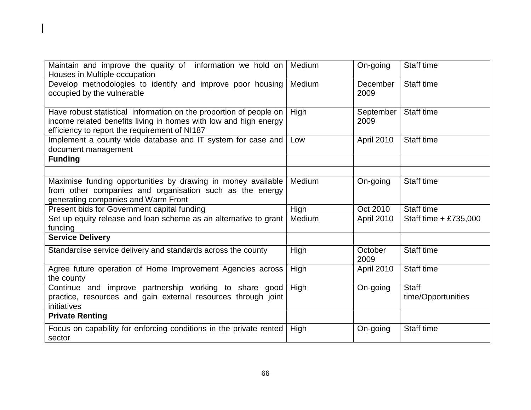| Maintain and improve the quality of information we hold on<br>Houses in Multiple occupation                                                                                             | Medium | On-going          | Staff time                         |
|-----------------------------------------------------------------------------------------------------------------------------------------------------------------------------------------|--------|-------------------|------------------------------------|
| Develop methodologies to identify and improve poor housing<br>occupied by the vulnerable                                                                                                | Medium | December<br>2009  | Staff time                         |
| Have robust statistical information on the proportion of people on<br>income related benefits living in homes with low and high energy<br>efficiency to report the requirement of NI187 | High   | September<br>2009 | Staff time                         |
| Implement a county wide database and IT system for case and<br>document management                                                                                                      | Low    | April 2010        | Staff time                         |
| <b>Funding</b>                                                                                                                                                                          |        |                   |                                    |
|                                                                                                                                                                                         |        |                   |                                    |
| Maximise funding opportunities by drawing in money available<br>from other companies and organisation such as the energy<br>generating companies and Warm Front                         | Medium | On-going          | Staff time                         |
| Present bids for Government capital funding                                                                                                                                             | High   | Oct 2010          | Staff time                         |
| Set up equity release and loan scheme as an alternative to grant<br>funding                                                                                                             | Medium | April 2010        | Staff time + £735,000              |
| <b>Service Delivery</b>                                                                                                                                                                 |        |                   |                                    |
| Standardise service delivery and standards across the county                                                                                                                            | High   | October<br>2009   | Staff time                         |
| Agree future operation of Home Improvement Agencies across<br>the county                                                                                                                | High   | April 2010        | Staff time                         |
| Continue and improve partnership working to share good<br>practice, resources and gain external resources through joint<br>initiatives                                                  | High   | On-going          | <b>Staff</b><br>time/Opportunities |
| <b>Private Renting</b>                                                                                                                                                                  |        |                   |                                    |
| Focus on capability for enforcing conditions in the private rented<br>sector                                                                                                            | High   | On-going          | Staff time                         |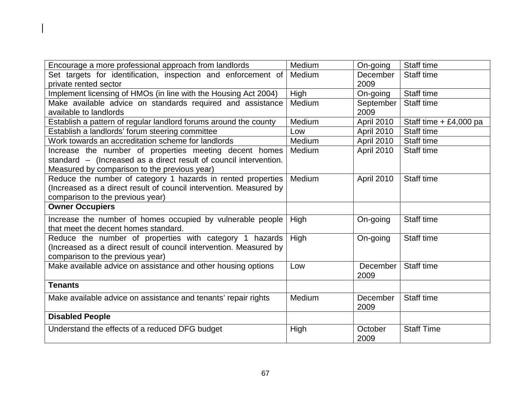| Encourage a more professional approach from landlords              | Medium | On-going          | Staff time               |
|--------------------------------------------------------------------|--------|-------------------|--------------------------|
| Set targets for identification, inspection and enforcement of      | Medium | December          | Staff time               |
| private rented sector                                              |        | 2009              |                          |
| Implement licensing of HMOs (in line with the Housing Act 2004)    | High   | On-going          | Staff time               |
| Make available advice on standards required and assistance         | Medium | September         | Staff time               |
| available to landlords                                             |        | 2009              |                          |
| Establish a pattern of regular landlord forums around the county   | Medium | <b>April 2010</b> | Staff time $+ £4,000$ pa |
| Establish a landlords' forum steering committee                    | Low    | April 2010        | Staff time               |
| Work towards an accreditation scheme for landlords                 | Medium | April 2010        | Staff time               |
| Increase the number of properties meeting decent homes             | Medium | April 2010        | Staff time               |
| standard - (Increased as a direct result of council intervention.  |        |                   |                          |
| Measured by comparison to the previous year)                       |        |                   |                          |
| Reduce the number of category 1 hazards in rented properties       | Medium | April 2010        | Staff time               |
| (Increased as a direct result of council intervention. Measured by |        |                   |                          |
| comparison to the previous year)                                   |        |                   |                          |
|                                                                    |        |                   |                          |
| <b>Owner Occupiers</b>                                             |        |                   |                          |
| Increase the number of homes occupied by vulnerable people         | High   | On-going          | Staff time               |
| that meet the decent homes standard.                               |        |                   |                          |
| Reduce the number of properties with category 1 hazards            | High   | On-going          | Staff time               |
| (Increased as a direct result of council intervention. Measured by |        |                   |                          |
| comparison to the previous year)                                   |        |                   |                          |
| Make available advice on assistance and other housing options      | Low    | December          | Staff time               |
|                                                                    |        | 2009              |                          |
| <b>Tenants</b>                                                     |        |                   |                          |
| Make available advice on assistance and tenants' repair rights     | Medium | December          | Staff time               |
|                                                                    |        | 2009              |                          |
| <b>Disabled People</b>                                             |        |                   |                          |
| Understand the effects of a reduced DFG budget                     | High   | October           | <b>Staff Time</b>        |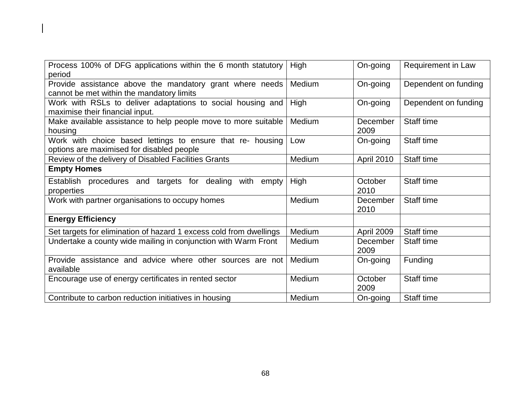| Process 100% of DFG applications within the 6 month statutory<br>period                                 | High   | On-going         | <b>Requirement in Law</b> |
|---------------------------------------------------------------------------------------------------------|--------|------------------|---------------------------|
| Provide assistance above the mandatory grant where needs<br>cannot be met within the mandatory limits   | Medium | On-going         | Dependent on funding      |
| Work with RSLs to deliver adaptations to social housing and<br>maximise their financial input.          | High   | On-going         | Dependent on funding      |
| Make available assistance to help people move to more suitable<br>housing                               | Medium | December<br>2009 | Staff time                |
| Work with choice based lettings to ensure that re- housing<br>options are maximised for disabled people | Low    | On-going         | Staff time                |
| Review of the delivery of Disabled Facilities Grants                                                    | Medium | April 2010       | Staff time                |
| <b>Empty Homes</b>                                                                                      |        |                  |                           |
| Establish procedures and targets for dealing with empty<br>properties                                   | High   | October<br>2010  | Staff time                |
| Work with partner organisations to occupy homes                                                         | Medium | December<br>2010 | Staff time                |
| <b>Energy Efficiency</b>                                                                                |        |                  |                           |
| Set targets for elimination of hazard 1 excess cold from dwellings                                      | Medium | April 2009       | Staff time                |
| Undertake a county wide mailing in conjunction with Warm Front                                          | Medium | December<br>2009 | Staff time                |
| Provide assistance and advice where other sources are not<br>available                                  | Medium | On-going         | Funding                   |
| Encourage use of energy certificates in rented sector                                                   | Medium | October<br>2009  | Staff time                |
| Contribute to carbon reduction initiatives in housing                                                   | Medium | On-going         | Staff time                |

 $\begin{array}{c} \hline \end{array}$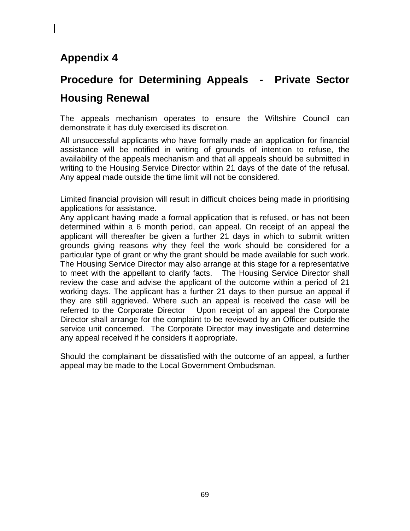# **Procedure for Determining Appeals - Private Sector Housing Renewal**

The appeals mechanism operates to ensure the Wiltshire Council can demonstrate it has duly exercised its discretion.

All unsuccessful applicants who have formally made an application for financial assistance will be notified in writing of grounds of intention to refuse, the availability of the appeals mechanism and that all appeals should be submitted in writing to the Housing Service Director within 21 days of the date of the refusal. Any appeal made outside the time limit will not be considered.

Limited financial provision will result in difficult choices being made in prioritising applications for assistance.

Any applicant having made a formal application that is refused, or has not been determined within a 6 month period, can appeal. On receipt of an appeal the applicant will thereafter be given a further 21 days in which to submit written grounds giving reasons why they feel the work should be considered for a particular type of grant or why the grant should be made available for such work. The Housing Service Director may also arrange at this stage for a representative to meet with the appellant to clarify facts. The Housing Service Director shall review the case and advise the applicant of the outcome within a period of 21 working days. The applicant has a further 21 days to then pursue an appeal if they are still aggrieved. Where such an appeal is received the case will be referred to the Corporate Director Upon receipt of an appeal the Corporate Director shall arrange for the complaint to be reviewed by an Officer outside the service unit concerned. The Corporate Director may investigate and determine any appeal received if he considers it appropriate.

Should the complainant be dissatisfied with the outcome of an appeal, a further appeal may be made to the Local Government Ombudsman.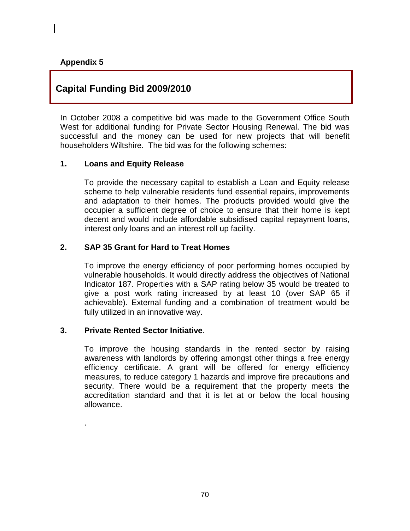## **Capital Funding Bid 2009/2010**

In October 2008 a competitive bid was made to the Government Office South West for additional funding for Private Sector Housing Renewal. The bid was successful and the money can be used for new projects that will benefit householders Wiltshire. The bid was for the following schemes:

#### **1. Loans and Equity Release**

To provide the necessary capital to establish a Loan and Equity release scheme to help vulnerable residents fund essential repairs, improvements and adaptation to their homes. The products provided would give the occupier a sufficient degree of choice to ensure that their home is kept decent and would include affordable subsidised capital repayment loans, interest only loans and an interest roll up facility.

### **2. SAP 35 Grant for Hard to Treat Homes**

To improve the energy efficiency of poor performing homes occupied by vulnerable households. It would directly address the objectives of National Indicator 187. Properties with a SAP rating below 35 would be treated to give a post work rating increased by at least 10 (over SAP 65 if achievable). External funding and a combination of treatment would be fully utilized in an innovative way.

#### **3. Private Rented Sector Initiative**.

.

To improve the housing standards in the rented sector by raising awareness with landlords by offering amongst other things a free energy efficiency certificate. A grant will be offered for energy efficiency measures, to reduce category 1 hazards and improve fire precautions and security. There would be a requirement that the property meets the accreditation standard and that it is let at or below the local housing allowance.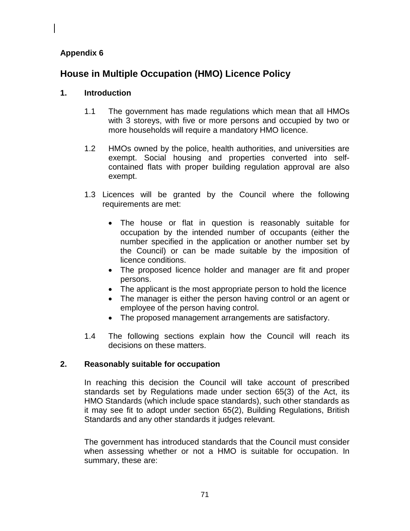## **House in Multiple Occupation (HMO) Licence Policy**

## **1. Introduction**

- 1.1 The government has made regulations which mean that all HMOs with 3 storeys, with five or more persons and occupied by two or more households will require a mandatory HMO licence.
- 1.2 HMOs owned by the police, health authorities, and universities are exempt. Social housing and properties converted into selfcontained flats with proper building regulation approval are also exempt.
- 1.3 Licences will be granted by the Council where the following requirements are met:
	- The house or flat in question is reasonably suitable for occupation by the intended number of occupants (either the number specified in the application or another number set by the Council) or can be made suitable by the imposition of licence conditions.
	- The proposed licence holder and manager are fit and proper persons.
	- The applicant is the most appropriate person to hold the licence
	- The manager is either the person having control or an agent or employee of the person having control.
	- The proposed management arrangements are satisfactory.
- 1.4 The following sections explain how the Council will reach its decisions on these matters.

## **2. Reasonably suitable for occupation**

In reaching this decision the Council will take account of prescribed standards set by Regulations made under section 65(3) of the Act, its HMO Standards (which include space standards), such other standards as it may see fit to adopt under section 65(2), Building Regulations, British Standards and any other standards it judges relevant.

The government has introduced standards that the Council must consider when assessing whether or not a HMO is suitable for occupation. In summary, these are: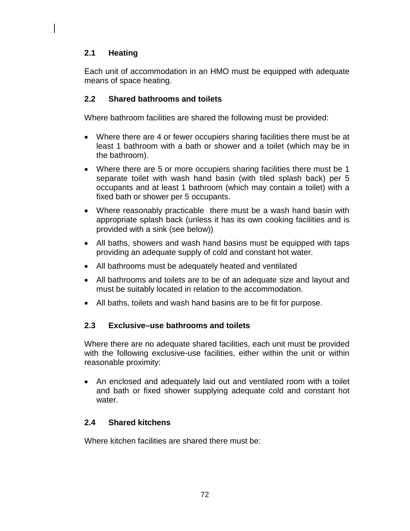## **2.1 Heating**

Each unit of accommodation in an HMO must be equipped with adequate means of space heating.

## **2.2 Shared bathrooms and toilets**

Where bathroom facilities are shared the following must be provided:

- Where there are 4 or fewer occupiers sharing facilities there must be at least 1 bathroom with a bath or shower and a toilet (which may be in the bathroom).
- Where there are 5 or more occupiers sharing facilities there must be 1 separate toilet with wash hand basin (with tiled splash back) per 5 occupants and at least 1 bathroom (which may contain a toilet) with a fixed bath or shower per 5 occupants.
- Where reasonably practicable there must be a wash hand basin with appropriate splash back (unless it has its own cooking facilities and is provided with a sink (see below))
- All baths, showers and wash hand basins must be equipped with taps providing an adequate supply of cold and constant hot water.
- All bathrooms must be adequately heated and ventilated
- All bathrooms and toilets are to be of an adequate size and layout and must be suitably located in relation to the accommodation.
- All baths, toilets and wash hand basins are to be fit for purpose.

## **2.3 Exclusive–use bathrooms and toilets**

Where there are no adequate shared facilities, each unit must be provided with the following exclusive-use facilities, either within the unit or within reasonable proximity:

• An enclosed and adequately laid out and ventilated room with a toilet and bath or fixed shower supplying adequate cold and constant hot water.

## **2.4 Shared kitchens**

Where kitchen facilities are shared there must be: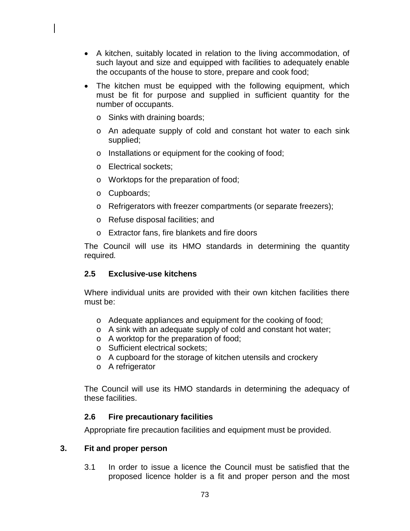- A kitchen, suitably located in relation to the living accommodation, of such layout and size and equipped with facilities to adequately enable the occupants of the house to store, prepare and cook food;
- The kitchen must be equipped with the following equipment, which must be fit for purpose and supplied in sufficient quantity for the number of occupants.
	- o Sinks with draining boards;
	- o An adequate supply of cold and constant hot water to each sink supplied;
	- o Installations or equipment for the cooking of food;
	- o Electrical sockets;
	- o Worktops for the preparation of food;
	- o Cupboards;
	- o Refrigerators with freezer compartments (or separate freezers);
	- o Refuse disposal facilities; and
	- o Extractor fans, fire blankets and fire doors

The Council will use its HMO standards in determining the quantity required*.*

# **2.5 Exclusive-use kitchens**

Where individual units are provided with their own kitchen facilities there must be:

- o Adequate appliances and equipment for the cooking of food;
- o A sink with an adequate supply of cold and constant hot water;
- o A worktop for the preparation of food;
- o Sufficient electrical sockets;
- o A cupboard for the storage of kitchen utensils and crockery
- o A refrigerator

The Council will use its HMO standards in determining the adequacy of these facilities.

# **2.6 Fire precautionary facilities**

Appropriate fire precaution facilities and equipment must be provided.

### **3. Fit and proper person**

3.1 In order to issue a licence the Council must be satisfied that the proposed licence holder is a fit and proper person and the most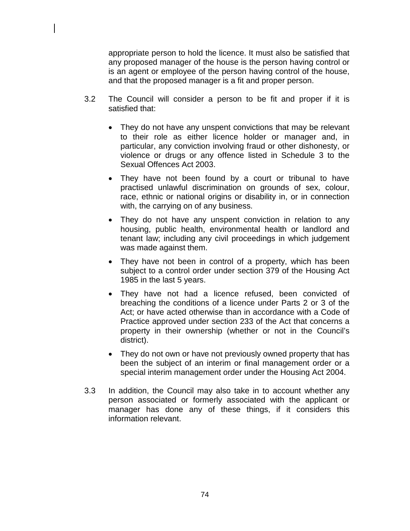appropriate person to hold the licence. It must also be satisfied that any proposed manager of the house is the person having control or is an agent or employee of the person having control of the house, and that the proposed manager is a fit and proper person.

- 3.2 The Council will consider a person to be fit and proper if it is satisfied that:
	- They do not have any unspent convictions that may be relevant to their role as either licence holder or manager and, in particular, any conviction involving fraud or other dishonesty, or violence or drugs or any offence listed in Schedule 3 to the Sexual Offences Act 2003.
	- They have not been found by a court or tribunal to have practised unlawful discrimination on grounds of sex, colour, race, ethnic or national origins or disability in, or in connection with, the carrying on of any business.
	- They do not have any unspent conviction in relation to any housing, public health, environmental health or landlord and tenant law; including any civil proceedings in which judgement was made against them.
	- They have not been in control of a property, which has been subject to a control order under section 379 of the Housing Act 1985 in the last 5 years.
	- They have not had a licence refused, been convicted of breaching the conditions of a licence under Parts 2 or 3 of the Act; or have acted otherwise than in accordance with a Code of Practice approved under section 233 of the Act that concerns a property in their ownership (whether or not in the Council's district).
	- They do not own or have not previously owned property that has been the subject of an interim or final management order or a special interim management order under the Housing Act 2004.
- 3.3 In addition, the Council may also take in to account whether any person associated or formerly associated with the applicant or manager has done any of these things, if it considers this information relevant.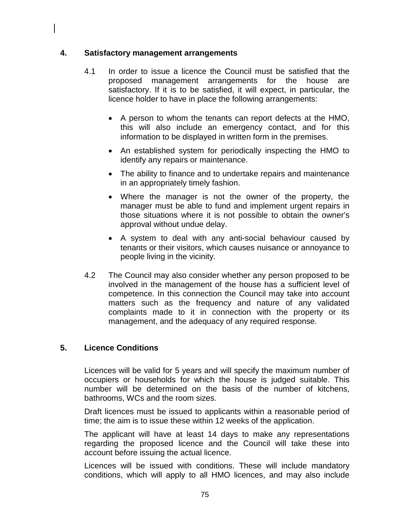### **4. Satisfactory management arrangements**

- 4.1 In order to issue a licence the Council must be satisfied that the proposed management arrangements for the house are satisfactory. If it is to be satisfied, it will expect, in particular, the licence holder to have in place the following arrangements:
	- A person to whom the tenants can report defects at the HMO, this will also include an emergency contact, and for this information to be displayed in written form in the premises.
	- An established system for periodically inspecting the HMO to identify any repairs or maintenance.
	- The ability to finance and to undertake repairs and maintenance in an appropriately timely fashion.
	- Where the manager is not the owner of the property, the manager must be able to fund and implement urgent repairs in those situations where it is not possible to obtain the owner's approval without undue delay.
	- A system to deal with any anti-social behaviour caused by tenants or their visitors, which causes nuisance or annoyance to people living in the vicinity.
- 4.2 The Council may also consider whether any person proposed to be involved in the management of the house has a sufficient level of competence. In this connection the Council may take into account matters such as the frequency and nature of any validated complaints made to it in connection with the property or its management, and the adequacy of any required response.

# **5. Licence Conditions**

Licences will be valid for 5 years and will specify the maximum number of occupiers or households for which the house is judged suitable. This number will be determined on the basis of the number of kitchens, bathrooms, WCs and the room sizes.

Draft licences must be issued to applicants within a reasonable period of time; the aim is to issue these within 12 weeks of the application.

The applicant will have at least 14 days to make any representations regarding the proposed licence and the Council will take these into account before issuing the actual licence.

Licences will be issued with conditions. These will include mandatory conditions, which will apply to all HMO licences, and may also include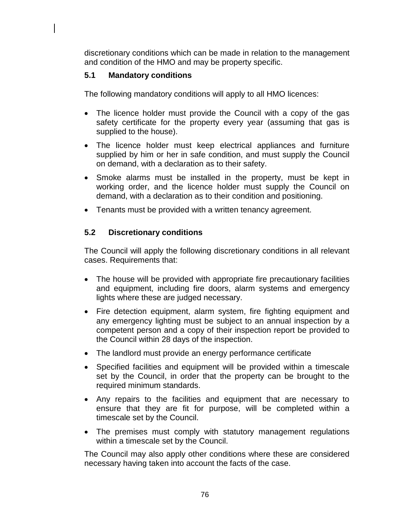discretionary conditions which can be made in relation to the management and condition of the HMO and may be property specific.

## **5.1 Mandatory conditions**

The following mandatory conditions will apply to all HMO licences:

- The licence holder must provide the Council with a copy of the gas safety certificate for the property every year (assuming that gas is supplied to the house).
- The licence holder must keep electrical appliances and furniture supplied by him or her in safe condition, and must supply the Council on demand, with a declaration as to their safety.
- Smoke alarms must be installed in the property, must be kept in working order, and the licence holder must supply the Council on demand, with a declaration as to their condition and positioning.
- Tenants must be provided with a written tenancy agreement.

# **5.2 Discretionary conditions**

The Council will apply the following discretionary conditions in all relevant cases. Requirements that:

- The house will be provided with appropriate fire precautionary facilities and equipment, including fire doors, alarm systems and emergency lights where these are judged necessary.
- Fire detection equipment, alarm system, fire fighting equipment and any emergency lighting must be subject to an annual inspection by a competent person and a copy of their inspection report be provided to the Council within 28 days of the inspection.
- The landlord must provide an energy performance certificate
- Specified facilities and equipment will be provided within a timescale set by the Council, in order that the property can be brought to the required minimum standards.
- Any repairs to the facilities and equipment that are necessary to ensure that they are fit for purpose, will be completed within a timescale set by the Council.
- The premises must comply with statutory management regulations within a timescale set by the Council.

The Council may also apply other conditions where these are considered necessary having taken into account the facts of the case.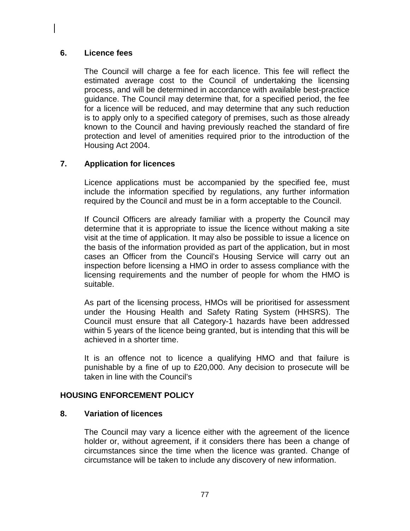### **6. Licence fees**

The Council will charge a fee for each licence. This fee will reflect the estimated average cost to the Council of undertaking the licensing process, and will be determined in accordance with available best-practice guidance. The Council may determine that, for a specified period, the fee for a licence will be reduced, and may determine that any such reduction is to apply only to a specified category of premises, such as those already known to the Council and having previously reached the standard of fire protection and level of amenities required prior to the introduction of the Housing Act 2004.

# **7. Application for licences**

Licence applications must be accompanied by the specified fee, must include the information specified by regulations, any further information required by the Council and must be in a form acceptable to the Council.

If Council Officers are already familiar with a property the Council may determine that it is appropriate to issue the licence without making a site visit at the time of application. It may also be possible to issue a licence on the basis of the information provided as part of the application, but in most cases an Officer from the Council's Housing Service will carry out an inspection before licensing a HMO in order to assess compliance with the licensing requirements and the number of people for whom the HMO is suitable.

As part of the licensing process, HMOs will be prioritised for assessment under the Housing Health and Safety Rating System (HHSRS). The Council must ensure that all Category-1 hazards have been addressed within 5 years of the licence being granted, but is intending that this will be achieved in a shorter time.

It is an offence not to licence a qualifying HMO and that failure is punishable by a fine of up to £20,000. Any decision to prosecute will be taken in line with the Council's

# **HOUSING ENFORCEMENT POLICY**

### **8. Variation of licences**

The Council may vary a licence either with the agreement of the licence holder or, without agreement, if it considers there has been a change of circumstances since the time when the licence was granted. Change of circumstance will be taken to include any discovery of new information.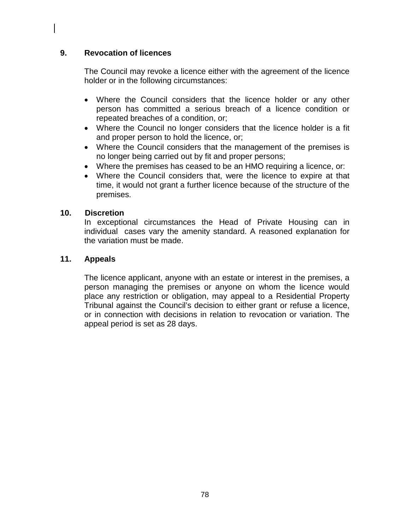## **9. Revocation of licences**

The Council may revoke a licence either with the agreement of the licence holder or in the following circumstances:

- Where the Council considers that the licence holder or any other person has committed a serious breach of a licence condition or repeated breaches of a condition, or;
- Where the Council no longer considers that the licence holder is a fit and proper person to hold the licence, or;
- Where the Council considers that the management of the premises is no longer being carried out by fit and proper persons;
- Where the premises has ceased to be an HMO requiring a licence, or:
- Where the Council considers that, were the licence to expire at that time, it would not grant a further licence because of the structure of the premises.

### **10. Discretion**

In exceptional circumstances the Head of Private Housing can in individual cases vary the amenity standard. A reasoned explanation for the variation must be made.

### **11. Appeals**

The licence applicant, anyone with an estate or interest in the premises, a person managing the premises or anyone on whom the licence would place any restriction or obligation, may appeal to a Residential Property Tribunal against the Council's decision to either grant or refuse a licence, or in connection with decisions in relation to revocation or variation. The appeal period is set as 28 days.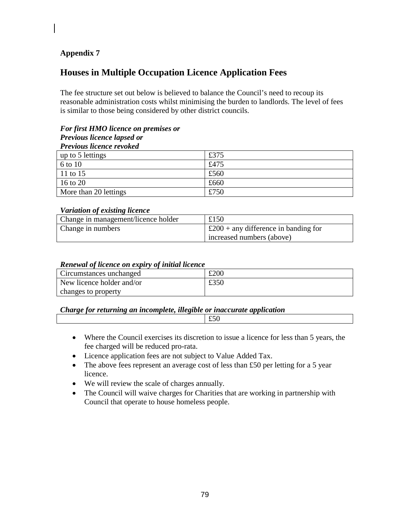## **Appendix 7**

# **Houses in Multiple Occupation Licence Application Fees**

The fee structure set out below is believed to balance the Council's need to recoup its reasonable administration costs whilst minimising the burden to landlords. The level of fees is similar to those being considered by other district councils.

#### *For first HMO licence on premises or Previous licence lapsed or Previous licence revoked*

| up to 5 lettings      | £375 |
|-----------------------|------|
| 6 to 10               | £475 |
| 11 to 15              | £560 |
| 16 to 20              | £660 |
| More than 20 lettings | £750 |

#### *Variation of existing licence*

| Change in management/licence holder | £150                                      |
|-------------------------------------|-------------------------------------------|
| Change in numbers                   | $\pm 200 +$ any difference in banding for |
|                                     | increased numbers (above)                 |

#### *Renewal of licence on expiry of initial licence*

| Circumstances unchanged   | £200 |
|---------------------------|------|
| New licence holder and/or | £350 |
| changes to property       |      |

#### *Charge for returning an incomplete, illegible or inaccurate application*

- Where the Council exercises its discretion to issue a licence for less than 5 years, the fee charged will be reduced pro-rata.
- Licence application fees are not subject to Value Added Tax.
- The above fees represent an average cost of less than £50 per letting for a 5 year licence.
- We will review the scale of charges annually.
- The Council will waive charges for Charities that are working in partnership with Council that operate to house homeless people.